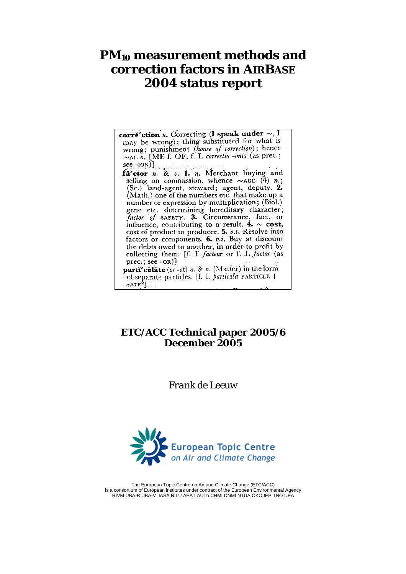# **PM10 measurement methods and correction factors in AIRBASE 2004 status report**

corre'ction n. Correcting (I speak under  $\sim$ , I may be wrong); thing substituted for what is may be wrong), thing substituted for white is<br>wrong; punishment (house of correction); hence<br> $\sim$ AL a. [ME f. OF, f. L correctio -onis (as prec.; see ---[ON]<br> **fa'ctor** *n*. & *v*. **1**, *n*. Merchant buying and<br>
selling on commission, whence  $\sim$ AGE (4) *n*. selling on commission, whence  $\sim$ AGE (4) n.; (Sc.) land-agent, steward; agent, deputy. 2. (Math.) one of the numbers etc. that make up a (with the of the numbers etc. that make up a<br>number or expression by multiplication; (Biol.)<br>gene etc. determining hereditary character;<br>factor of safety. 3. Circumstance, fact, or influence, contributing to a result.  $4. \sim \text{cost}$ , cost of product to producer. 5. v.t. Resolve into factors or components. 6.  $v.i.$  Buy at discount the debts owed to another, in order to profit by collecting them. [f. F facteur or f. L factor (as  $prec.; see -OR)$ parti'culate (or-at) a. & n. (Matter) in the form of separate particles. [f. I. particula PARTICLE +  $-ATE<sup>2</sup>$ 

## **ETC/ACC Technical paper 2005/6 December 2005**

*Frank de Leeuw* 



The European Topic Centre on Air and Climate Change (ETC/ACC) is a consortium of European institutes under contract of the European Environmental Agency RIVM UBA-B UBA-V IIASA NILU AEAT AUTh CHMI DNMI NTUA ÖKO IEP TNO UEA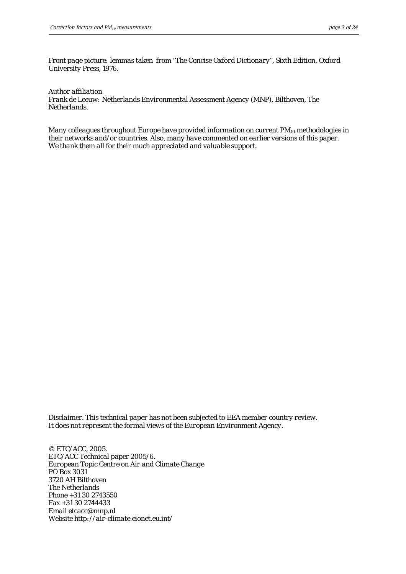*Front page picture: lemmas taken from "The Concise Oxford Dictionary", Sixth Edition, Oxford University Press, 1976.* 

*Author affiliation* 

*Frank de Leeuw: Netherlands Environmental Assessment Agency (MNP), Bilthoven, The Netherlands.* 

*Many colleagues throughout Europe have provided information on current PM10 methodologies in their networks and/or countries. Also, many have commented on earlier versions of this paper. We thank them all for their much appreciated and valuable support.* 

*Disclaimer. This technical paper has not been subjected to EEA member country review. It does not represent the formal views of the European Environment Agency.* 

*© ETC/ACC, 2005. ETC/ACC Technical paper 2005/6. European Topic Centre on Air and Climate Change PO Box 3031 3720 AH Bilthoven The Netherlands Phone +31 30 2743550 Fax +31 30 2744433 Email etcacc@mnp.nl Website http://air-climate.eionet.eu.int/*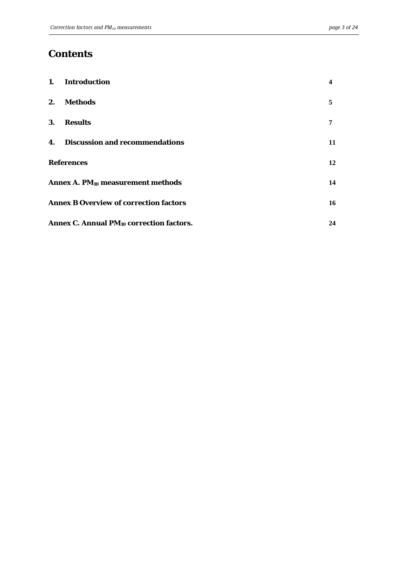## **Contents**

|    | 1. Introduction                                            | 4  |  |  |  |
|----|------------------------------------------------------------|----|--|--|--|
| 2. | Methods                                                    | 5  |  |  |  |
| 3. | <b>Results</b>                                             |    |  |  |  |
|    | 4. Discussion and recommendations                          | 11 |  |  |  |
|    | <b>References</b>                                          | 12 |  |  |  |
|    | Annex A. PM <sub>10</sub> measurement methods              | 14 |  |  |  |
|    | <b>Annex B Overview of correction factors</b>              |    |  |  |  |
|    | Annex C. Annual PM <sub>10</sub> correction factors.<br>24 |    |  |  |  |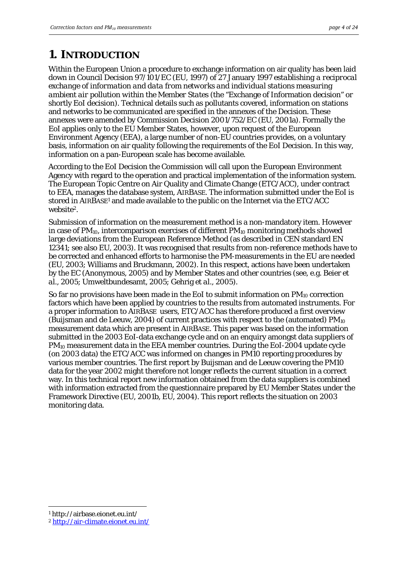## <span id="page-3-0"></span>**1. INTRODUCTION**

Within the European Union a procedure to exchange information on air quality has been laid down in Council Decision 97/101/EC (EU, 1997) of 27 January 1997 *establishing a reciprocal exchange of information and data from networks and individual stations measuring ambient air pollution within the Member States* (the "Exchange of Information decision" or shortly EoI decision). Technical details such as pollutants covered, information on stations and networks to be communicated are specified in the annexes of the Decision. These annexes were amended by Commission Decision 2001/752/EC (EU, 2001a). Formally the EoI applies only to the EU Member States, however, upon request of the European Environment Agency (EEA), a large number of non-EU countries provides, on a voluntary basis, information on air quality following the requirements of the EoI Decision. In this way, information on a pan-European scale has become available.

According to the EoI Decision the Commission will call upon the European Environment Agency with regard to the operation and practical implementation of the information system. The European Topic Centre on Air Quality and Climate Change (ETC/ACC), under contract to EEA, manages the database system, AIRBASE. The information submitted under the EoI is stored in AIRBASE[1 a](#page-3-1)nd made available to the public on the Internet via the ETC/ACC website<sup>2</sup>.

Submission of information on the measurement method is a non-mandatory item. However in case of  $PM_{10}$ , intercomparison exercises of different  $PM_{10}$  monitoring methods showed large deviations from the European Reference Method (as described in CEN standard EN 12341; see also EU, 2003). It was recognised that results from non-reference methods have to be corrected and enhanced efforts to harmonise the PM-measurements in the EU are needed (EU, 2003; Williams and Bruckmann, 2002). In this respect, actions have been undertaken by the EC (Anonymous, 2005) and by Member States and other countries (see, e.g. Beier *et al.*, 2005; Umweltbundesamt, 2005; Gehrig *et al.,* 2005).

So far no provisions have been made in the EoI to submit information on  $PM_{10}$  correction factors which have been applied by countries to the results from automated instruments. For a proper information to AIRBASE users, ETC/ACC has therefore produced a first overview (Buijsman and de Leeuw, 2004) of current practices with respect to the (automated)  $PM_{10}$ measurement data which are present in AIRBASE. This paper was based on the information submitted in the 2003 EoI-data exchange cycle and on an enquiry amongst data suppliers of PM10 measurement data in the EEA member countries. During the EoI-2004 update cycle (on 2003 data) the ETC/ACC was informed on changes in PM10 reporting procedures by various member countries. The first report by Buijsman and de Leeuw covering the PM10 data for the year 2002 might therefore not longer reflects the current situation in a correct way. In this technical report new information obtained from the data suppliers is combined with information extracted from the questionnaire prepared by EU Member States under the Framework Directive (EU, 2001b, EU, 2004). This report reflects the situation on 2003 monitoring data.

 $\overline{a}$ 

<span id="page-3-1"></span><sup>1</sup> http://airbase.eionet.eu.int/

<span id="page-3-2"></span><sup>2</sup> <http://air-climate.eionet.eu.int/>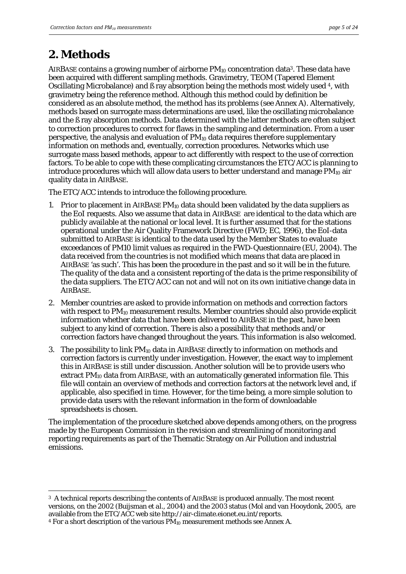## <span id="page-4-0"></span>**2. Methods**

 $\overline{a}$ 

AIRBASE contains a growing number of airborne PM<sub>10</sub> concentration data<sup>3</sup>. These data have been acquired with different sampling methods. Gravimetry, TEOM (Tapered Element Oscillating Microbalance) and ß ray absorption being the methods most widely used [4,](#page-4-2) with gravimetry being the reference method. Although this method could by definition be considered as an absolute method, the method has its problems (see Annex A). Alternatively, methods based on surrogate mass determinations are used, like the oscillating microbalance and the ß ray absorption methods. Data determined with the latter methods are often subject to correction procedures to correct for flaws in the sampling and determination. From a user perspective, the analysis and evaluation of  $PM_{10}$  data requires therefore supplementary information on methods and, eventually, correction procedures. Networks which use surrogate mass based methods, appear to act differently with respect to the use of correction factors. To be able to cope with these complicating circumstances the ETC/ACC is planning to introduce procedures which will allow data users to better understand and manage  $PM_{10}$  air quality data in AIRBASE.

The ETC/ACC intends to introduce the following procedure.

- 1. Prior to placement in AIRBASE  $PM_{10}$  data should been validated by the data suppliers as the EoI requests. Also we assume that data in AIRBASE are identical to the data which are publicly available at the national or local level. It is further assumed that for the stations operational under the Air Quality Framework Directive (FWD; EC, 1996), the EoI-data submitted to AIRBASE is identical to the data used by the Member States to evaluate exceedances of PM10 limit values as required in the FWD-Questionnaire (EU, 2004). The data received from the countries is not modified which means that data are placed in AIRBASE 'as such'. This has been the procedure in the past and so it will be in the future. The quality of the data and a consistent reporting of the data is the prime responsibility of the data suppliers. The ETC/ACC can not and will not on its own initiative change data in AIRBASE.
- 2. Member countries are asked to provide information on methods and correction factors with respect to PM<sub>10</sub> measurement results. Member countries should also provide explicit information whether data that have been delivered to AIRBASE in the past, have been subject to any kind of correction. There is also a possibility that methods and/or correction factors have changed throughout the years. This information is also welcomed.
- 3. The possibility to link  $PM_{10}$  data in AIRBASE directly to information on methods and correction factors is currently under investigation. However, the exact way to implement this in AIRBASE is still under discussion. Another solution will be to provide users who extract PM<sub>10</sub> data from AIRBASE, with an automatically generated information file. This file will contain an overview of methods and correction factors at the network level and, if applicable, also specified in time. However, for the time being, a more simple solution to provide data users with the relevant information in the form of downloadable spreadsheets is chosen.

The implementation of the procedure sketched above depends among others, on the progress made by the European Commission in the revision and streamlining of monitoring and reporting requirements as part of the Thematic Strategy on Air Pollution and industrial emissions.

<span id="page-4-1"></span><sup>&</sup>lt;sup>3</sup> A technical reports describing the contents of AIRBASE is produced annually. The most recent versions, on the 2002 (Buijsman *et al*., 2004) and the 2003 status (Mol and van Hooydonk, 2005, are available from the ETC/ACC web site http://air-climate.eionet.eu.int/reports.

<span id="page-4-2"></span><sup>&</sup>lt;sup>4</sup> For a short description of the various  $\tilde{PM}_{10}$  measurement methods see Annex A.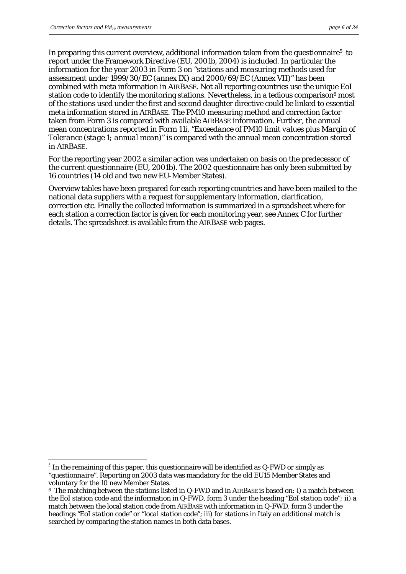$\overline{a}$ 

In preparing this current overview, additional information taken from the questionnaire<sup>5</sup> to report under the Framework Directive (EU, 2001b, 2004) is included. In particular the information for the year 2003 in Form 3 on *"stations and measuring methods used for assessment under 1999/30/EC (annex IX) and 2000/69/EC (Annex VII)"* has been combined with meta information in AIRBASE. Not all reporting countries use the unique EoI station code to identify the monitoring stations. Nevertheless, in a tedious comparison<sup>6</sup> most of the stations used under the first and second daughter directive could be linked to essential meta information stored in AIRBASE. The PM10 measuring method and correction factor taken from Form 3 is compared with available AIRBASE information. Further, the annual mean concentrations reported in Form 11i, *"Exceedance of PM10 limit values plus Margin of Tolerance (stage 1; annual mean)"* is compared with the annual mean concentration stored in AIRBASE.

For the reporting year 2002 a similar action was undertaken on basis on the predecessor of the current questionnaire (EU, 2001b). The 2002 questionnaire has only been submitted by 16 countries (14 old and two new EU-Member States).

Overview tables have been prepared for each reporting countries and have been mailed to the national data suppliers with a request for supplementary information, clarification, correction etc. Finally the collected information is summarized in a spreadsheet where for each station a correction factor is given for each monitoring year, see Annex C for further details. The spreadsheet is available from the AIRBASE web pages.

<span id="page-5-0"></span> $5$  In the remaining of this paper, this questionnaire will be identified as  $Q$ -*FWD* or simply as "*questionnaire".* Reporting on 2003 data was mandatory for the old EU15 Member States and voluntary for the 10 new Member States.

<span id="page-5-1"></span><sup>6</sup> The matching between the stations listed in Q-FWD and in AIRBASE is based on*: i)* a match between the EoI station code and the information in Q-FWD, form 3 under the heading *"EoI station code"; ii*) a match between the local station code from AIRBASE with information in Q-FWD, form 3 under the headings *"EoI station code"* or "*local station code*"; *iii)* for stations in Italy an additional match is searched by comparing the station names in both data bases.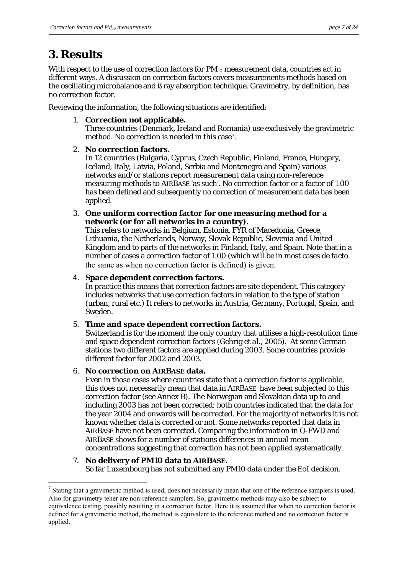# <span id="page-6-0"></span>**3. Results**

With respect to the use of correction factors for  $PM_{10}$  measurement data, countries act in different ways. A discussion on correction factors covers measurements methods based on the oscillating microbalance and ß ray absorption technique. Gravimetry, by definition, has no correction factor.

Reviewing the information, the following situations are identified:

1. **Correction not applicable.** 

Three countries (Denmark, Ireland and Romania) use exclusively the gravimetric method. No correction is needed in this case<sup>7</sup>.

## 2. **No correction factors**.

In 12 countries (Bulgaria, Cyprus, Czech Republic, Finland, France, Hungary, Iceland, Italy, Latvia, Poland, Serbia and Montenegro and Spain) various networks and/or stations report measurement data using non-reference measuring methods to AIRBASE 'as such'. No correction factor or a factor of 1.00 has been defined and subsequently no correction of measurement data has been applied.

3. **One uniform correction factor for one measuring method for a network (or for all networks in a country).** 

This refers to networks in Belgium, Estonia, FYR of Macedonia, Greece, Lithuania, the Netherlands, Norway, Slovak Republic, Slovenia and United Kingdom and to parts of the networks in Finland, Italy, and Spain. Note that in a number of cases a correction factor of 1.00 (which will be in most cases *de facto*  the same as when no correction factor is defined) is given.

### 4. **Space dependent correction factors.**

In practice this means that correction factors are site dependent. This category includes networks that use correction factors in relation to the type of station (urban, rural etc.) It refers to networks in Austria, Germany, Portugal, Spain, and Sweden.

## 5. **Time and space dependent correction factors.**

Switzerland is for the moment the only country that utilises a high-resolution time and space dependent correction factors (Gehrig *et al*., 2005). At some German stations two different factors are applied during 2003. Some countries provide different factor for 2002 and 2003.

## 6. **No correction on AIRBASE data.**

Even in those cases where countries state that a correction factor is applicable, this does not necessarily mean that data in AIRBASE have been subjected to this correction factor (see Annex B). The Norwegian and Slovakian data up to and including 2003 has not been corrected; both countries indicated that the data for the year 2004 and onwards will be corrected. For the majority of networks it is not known whether data is corrected or not. Some networks reported that data in AIRBASE have not been corrected. Comparing the information in Q-FWD and AIRBASE shows for a number of stations differences in annual mean concentrations suggesting that correction has not been applied systematically.

## 7. **No delivery of PM10 data to AIRBASE.**  So far Luxembourg has not submitted any PM10 data under the EoI decision.

<span id="page-6-1"></span> $\overline{a}$  $<sup>7</sup>$  Stating that a gravimetric method is used, does not necessarily mean that one of the reference samplers is used.</sup> Also for gravimetry teher are non-reference samplers. So, gravimetric methods may also be subject to equivalence testing, possibly resulting in a correction factor. Here it is assumed that when no correction factor is defined for a gravimetric method, the method is equivalent to the reference method and no correction factor is applied.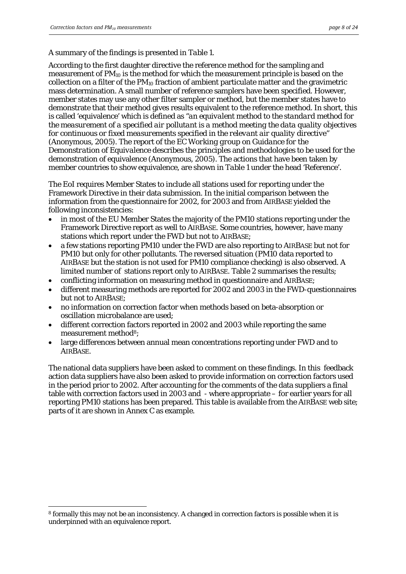$\overline{a}$ 

### A summary of the findings is presented in *Table 1*.

According to the first daughter directive the reference method for the sampling and measurement of  $PM_{10}$  is the method for which the measurement principle is based on the collection on a filter of the  $PM_{10}$  fraction of ambient particulate matter and the gravimetric mass determination. A small number of reference samplers have been specified. However, member states may use any other filter sampler or method, but the member states have to demonstrate that their method gives results equivalent to the reference method. In short, this is called 'equivalence' which is defined as *"an equivalent method to the standard method for the measurement of a specified air pollutant is a method meeting the data quality objectives for continuous or fixed measurements specified in the relevant air quality directive"* (Anonymous, 2005). The report of the *EC Working group on Guidance for the Demonstration of Equivalence* describes the principles and methodologies to be used for the demonstration of equivalence (Anonymous, 2005). The actions that have been taken by member countries to show equivalence, are shown in *Table 1* under the head 'Reference'.

The EoI requires Member States to include all stations used for reporting under the Framework Directive in their data submission. In the initial comparison between the information from the questionnaire for 2002, for 2003 and from AIRBASE yielded the following inconsistencies:

- in most of the EU Member States the majority of the PM10 stations reporting under the Framework Directive report as well to AIRBASE. Some countries, however, have many stations which report under the FWD but not to AIRBASE;
- a few stations reporting PM10 under the FWD are also reporting to AIRBASE but not for PM10 but only for other pollutants. The reversed situation (PM10 data reported to AIRBASE but the station is not used for PM10 compliance checking) is also observed. A limited number of stations report only to AIRBASE. Table 2 summarises the results;
- conflicting information on measuring method in questionnaire and AIRBASE;
- different measuring methods are reported for 2002 and 2003 in the FWD-questionnaires but not to AIRBASE;
- no information on correction factor when methods based on beta-absorption or oscillation microbalance are used;
- different correction factors reported in 2002 and 2003 while reporting the same measurement method<sup>8</sup>;
- large differences between annual mean concentrations reporting under FWD and to AIRBASE.

The national data suppliers have been asked to comment on these findings. In this feedback action data suppliers have also been asked to provide information on correction factors used in the period prior to 2002. After accounting for the comments of the data suppliers a final table with correction factors used in 2003 and - where appropriate – for earlier years for all reporting PM10 stations has been prepared. This table is available from the AIRBASE web site; parts of it are shown in Annex C as example.

<span id="page-7-0"></span><sup>8</sup> formally this may not be an inconsistency. A changed in correction factors is possible when it is underpinned with an equivalence report.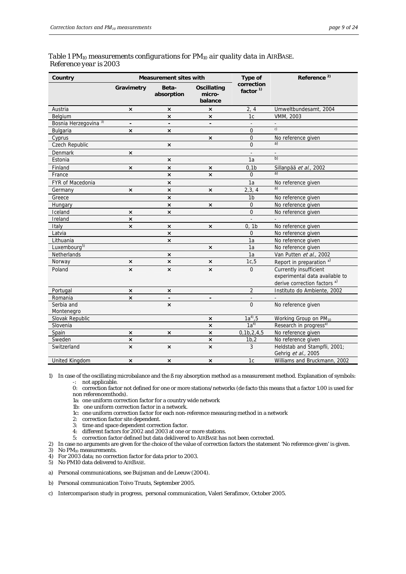| Country                          |                           | <b>Measurement sites with</b> |                                  | Type of                  | Reference <sup>2)</sup>                                                                             |
|----------------------------------|---------------------------|-------------------------------|----------------------------------|--------------------------|-----------------------------------------------------------------------------------------------------|
|                                  | Gravimetry                | Beta-<br>absorption           | Oscillating<br>micro-<br>balance | correction<br>factor $1$ |                                                                                                     |
| Austria                          | ×                         | ×                             | $\pmb{\times}$                   | 2, 4                     | Umweltbundesamt, 2004                                                                               |
| Belgium                          |                           | $\boldsymbol{\mathsf{x}}$     | $\boldsymbol{\mathsf{x}}$        | 1c                       | <b>VMM, 2003</b>                                                                                    |
| Bosnia Herzegovina <sup>3)</sup> | $\blacksquare$            | $\overline{a}$                | $\blacksquare$                   | $\overline{a}$           | ÷.                                                                                                  |
| Bulgaria                         | $\times$                  | $\boldsymbol{\mathsf{x}}$     |                                  | $\Omega$                 | c)                                                                                                  |
| Cyprus                           |                           |                               | $\pmb{\times}$                   | $\overline{0}$           | No reference given                                                                                  |
| Czech Republic                   |                           | $\boldsymbol{\mathsf{x}}$     |                                  | $\Omega$                 | a)                                                                                                  |
| Denmark                          | $\pmb{\times}$            |                               |                                  |                          |                                                                                                     |
| Estonia                          |                           | $\pmb{\times}$                |                                  | 1a                       | b)                                                                                                  |
| Finland                          | $\times$                  | $\boldsymbol{\mathsf{x}}$     | $\times$                         | 0.1 <sub>b</sub>         | Sillanpää et al., 2002                                                                              |
| France                           |                           | $\pmb{\times}$                | $\pmb{\times}$                   | $\Omega$                 | a)                                                                                                  |
| FYR of Macedonia                 |                           | ×                             |                                  | 1a                       | No reference given                                                                                  |
| Germany                          | ×                         | $\pmb{\times}$                | $\pmb{\times}$                   | 2,3,4                    | a)                                                                                                  |
| Greece                           |                           | $\boldsymbol{\mathsf{x}}$     |                                  | 1 <sub>b</sub>           | No reference given                                                                                  |
| Hungary                          |                           | $\times$                      | $\boldsymbol{\mathsf{x}}$        | $\mathbf 0$              | No reference given                                                                                  |
| Iceland                          | $\boldsymbol{\mathsf{x}}$ | $\boldsymbol{\mathsf{x}}$     |                                  | $\overline{0}$           | No reference given                                                                                  |
| Ireland                          | $\boldsymbol{\mathsf{x}}$ |                               |                                  |                          |                                                                                                     |
| Italy                            | $\mathsf{x}$              | $\mathsf{x}$                  | $\boldsymbol{\mathsf{x}}$        | 0, 1b                    | No reference given                                                                                  |
| Latvia                           |                           | ×                             |                                  | 0                        | No reference given                                                                                  |
| Lithuania                        |                           | $\pmb{\times}$                |                                  | 1a                       | No reference given                                                                                  |
| Luxembourg <sup>5)</sup>         |                           |                               | $\boldsymbol{\mathsf{x}}$        | 1a                       | No reference given                                                                                  |
| Netherlands                      |                           | $\pmb{\times}$                |                                  | 1a                       | Van Putten et al., 2002                                                                             |
| Norway                           | $\pmb{\times}$            | $\boldsymbol{\mathsf{x}}$     | $\pmb{\times}$                   | 1c, 5                    | Report in preparation <sup>a)</sup>                                                                 |
| Poland                           | $\times$                  | $\mathsf{x}$                  | $\mathsf{x}$                     | $\overline{0}$           | Currently insufficient<br>experimental data available to<br>derive correction factors <sup>a)</sup> |
| Portugal                         | $\pmb{\times}$            | ×                             |                                  | $\overline{2}$           | Instituto do Ambiente, 2002                                                                         |
| Romania                          | $\times$                  |                               |                                  |                          |                                                                                                     |
| Serbia and<br>Montenegro         |                           | $\mathsf{x}$                  |                                  | $\Omega$                 | No reference given                                                                                  |
| Slovak Republic                  |                           |                               | $\boldsymbol{\mathsf{x}}$        | $1a^{4}$ , 5             | Working Group on PM <sub>10</sub>                                                                   |
| Slovenia                         |                           |                               | $\boldsymbol{\mathsf{x}}$        | $1a^{4}$                 | Research in progress <sup>a)</sup>                                                                  |
| Spain                            | $\times$                  | $\pmb{\times}$                | $\pmb{\times}$                   | 0, 1b, 2, 4, 5           | No reference given                                                                                  |
| Sweden                           | $\times$                  |                               | $\pmb{\times}$                   | 1b,2                     | No reference given                                                                                  |
| Switzerland                      | $\times$                  | $\pmb{\times}$                | $\times$                         | 3                        | Heldstab and Stampfli, 2001;<br>Gehrig et al., 2005                                                 |
| United Kingdom                   | ×                         | $\pmb{\times}$                | $\pmb{\times}$                   | 1c                       | Williams and Bruckmann, 2002                                                                        |

#### *Table 1 PM10 measurements configurations for PM10 air quality data in AIRBASE. Reference year is 2003*

1) In case of the oscillating microbalance and the ß ray absorption method as a measurement method. Explanation of symbols: not applicable.

0: correction factor not defined for one or more stations/networks (de facto this means that a factor 1.00 is used for non referencemthods).

1a: one uniform correction factor for a country wide network

- 1b: one uniform correction factor in a network.
- 1c: one uniform correction factor for each non-reference measuring method in a network
- 2: correction factor site dependent.
- 3: time and space dependent correction factor.
- 4: different factors for 2002 and 2003 at one or more stations.

5: correction factor defined but data deklivered to AIRBASE has not been corrected.

- 2) In case no arguments are given for the choice of the value of correction factors the statement 'No reference given' is given.
- 3) No PM<sub>10</sub> measurements.
- 4) For 2003 data; no correction factor for data prior to 2003.

5) No PM10 data delivered to AIRBASE.

- a) Personal communications, see Buijsman and de Leeuw (2004).
- b) Personal communication Toivo Truuts, September 2005.
- c) Intercomparison study in progress, personal communication, Valeri Serafimov, October 2005.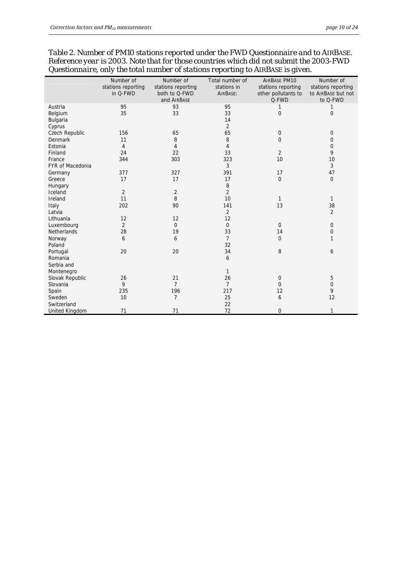|                    | Number of          | Number of          | Total number of | <b>AIRBASE PM10</b> | Number of          |
|--------------------|--------------------|--------------------|-----------------|---------------------|--------------------|
|                    |                    |                    | stations in     |                     |                    |
|                    | stations reporting | stations reporting |                 | stations reporting  | stations reporting |
|                    | in Q-FWD           | both to Q-FWD      | AIRBASE:        | other pollutants to | to AIRBASE but not |
|                    |                    | and AIRBASE        |                 | Q-FWD               | to Q-FWD           |
| Austria            | 95                 | 93                 | 95              | 1                   | 1                  |
| Belgium            | 35                 | 33                 | 33              | $\overline{0}$      | $\mathbf 0$        |
| Bulgaria           |                    |                    | 14              |                     |                    |
| Cyprus             |                    |                    | $\overline{2}$  |                     |                    |
| Czech Republic     | 156                | 65                 | 65              | $\mathbf 0$         | 0                  |
| <b>Denmark</b>     | 11                 | 8                  | 8               | $\Omega$            | 0                  |
| Estonia            | 4                  | 4                  | 4               |                     | 0                  |
| Finland            | 24                 | 22                 | 33              | 2                   | 9                  |
| France             | 344                | 303                | 323             | 10                  | 10                 |
| FYR of Macedonia   |                    |                    | 3               |                     | 3                  |
| Germany            | 377                | 327                | 391             | 17                  | 47                 |
| Greece             | 17                 | 17                 | 17              | $\overline{0}$      | $\mathbf 0$        |
| Hungary            |                    |                    | 8               |                     |                    |
| Iceland            | $\overline{2}$     | $\overline{2}$     | $\overline{2}$  |                     |                    |
| Ireland            | 11                 | $\, 8$             | 10              | $\mathbf{1}$        | $\mathbf{1}$       |
| Italy              | 202                | 90                 | 141             | 13                  | 38                 |
| Latvia             |                    |                    | $\overline{2}$  |                     | $\overline{2}$     |
| Lithuania          | 12                 | 12                 | 12              |                     |                    |
| Luxembourg         | $\overline{2}$     | $\mathbf{0}$       | $\mathbf{0}$    | $\mathbf{0}$        | 0                  |
| <b>Netherlands</b> | 28                 | 19                 | 33              | 14                  | 0                  |
| Norway             | 6                  | 6                  | $\overline{7}$  | $\Omega$            | $\mathbf{1}$       |
| Poland             |                    |                    | 32              |                     |                    |
| Portugal           | 20                 | 20                 | 34              | 8                   | 6                  |
| Romania            |                    |                    | 6               |                     |                    |
| Serbia and         |                    |                    |                 |                     |                    |
| Montenegro         |                    |                    | $\mathbf{1}$    |                     |                    |
| Slovak Republic    | 26                 | 21                 | 26              | $\mathbf 0$         | 5                  |
| Slovania           | 9                  | $\overline{7}$     | $\overline{7}$  | $\Omega$            | 0                  |
| Spain              | 235                | 196                | 217             | 12                  | 9                  |
| Sweden             | 10                 | $\overline{7}$     | 25              | 6                   | 12                 |
| Switzerland        |                    |                    | 22              |                     |                    |
| United Kingdom     | 71                 | 71                 | 72              | $\Omega$            | 1                  |

*Table 2. Number of PM10 stations reported under the FWD Questionnaire and to AIRBASE. Reference year is 2003. Note that for those countries which did not submit the 2003-FWD Questionnaire, only the total number of stations reporting to AIRBASE is given.*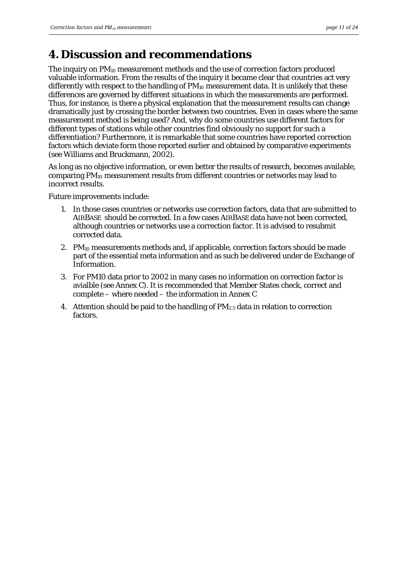## <span id="page-10-0"></span>**4. Discussion and recommendations**

The inquiry on PM10 measurement methods and the use of correction factors produced valuable information. From the results of the inquiry it became clear that countries act very differently with respect to the handling of  $PM_{10}$  measurement data. It is unlikely that these differences are governed by different situations in which the measurements are performed. Thus, for instance, is there a physical explanation that the measurement results can change dramatically just by crossing the border between two countries. Even in cases where the same measurement method is being used? And, why do some countries use different factors for different types of stations while other countries find obviously no support for such a differentiation? Furthermore, it is remarkable that some countries have reported correction factors which deviate form those reported earlier and obtained by comparative experiments (see Williams and Bruckmann, 2002).

As long as no objective information, or even better the results of research, becomes available, comparing PM10 measurement results from different countries or networks may lead to incorrect results.

Future improvements include:

- 1. In those cases countries or networks use correction factors, data that are submitted to AIRBASE should be corrected. In a few cases AIRBASE data have not been corrected, although countries or networks use a correction factor. It is advised to resubmit corrected data.
- 2.  $PM_{10}$  measurements methods and, if applicable, correction factors should be made part of the essential meta information and as such be delivered under de Exchange of Information.
- 3. For PM10 data prior to 2002 in many cases no information on correction factor is avialble (see Annex C). It is recommended that Member States check, correct and complete – where needed – the information in Annex C
- 4. Attention should be paid to the handling of  $PM_{2.5}$  data in relation to correction factors.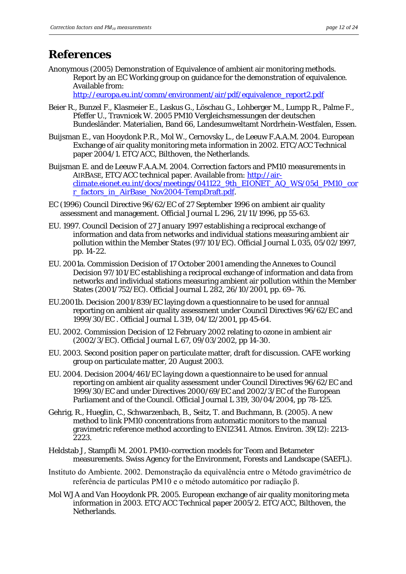## <span id="page-11-0"></span>**References**

Anonymous (2005) Demonstration of Equivalence of ambient air monitoring methods. Report by an EC Working group on guidance for the demonstration of equivalence. Available from:

[http://europa.eu.int/comm/environment/air/pdf/equivalence\\_report2.pdf](http://europa.eu.int/comm/environment/air/pdf/equivalence_report2.pdf)

- Beier R., Bunzel F., Klasmeier E., Laskus G., Löschau G., Lohberger M., Lumpp R., Palme F., Pfeffer U., Travnicek W. 2005 PM10 Vergleichsmessungen der deutschen Bundesländer. Materialien, Band 66, Landesumweltamt Nordrhein-Westfalen, Essen.
- Buijsman E., van Hooydonk P.R., Mol W., Cernovsky L., de Leeuw F.A.A.M. 2004. European Exchange of air quality monitoring meta information in 2002. ETC/ACC Technical paper 2004/1. ETC/ACC, Bilthoven, the Netherlands.
- Buijsman E. and de Leeuw F.A.A.M. 2004. Correction factors and PM10 measurements in AIRBASE, ETC/ACC technical paper. Available from: [http://air](http://air-climate.eionet.eu.int/docs/meetings/041122_9th_EIONET_AQ_WS/05d_PM10_corr_factors_in_AirBase_Nov2004-TempDraft.pdf)[climate.eionet.eu.int/docs/meetings/041122\\_9th\\_EIONET\\_AQ\\_WS/05d\\_PM10\\_cor](http://air-climate.eionet.eu.int/docs/meetings/041122_9th_EIONET_AQ_WS/05d_PM10_corr_factors_in_AirBase_Nov2004-TempDraft.pdf) [r\\_factors\\_in\\_AirBase\\_Nov2004-TempDraft.pdf](http://air-climate.eionet.eu.int/docs/meetings/041122_9th_EIONET_AQ_WS/05d_PM10_corr_factors_in_AirBase_Nov2004-TempDraft.pdf).
- EC (1996) Council Directive 96/62/EC of 27 September 1996 on ambient air quality assessment and management. Official Journal L 296, 21/11/1996, pp 55-63.
- EU. 1997. Council Decision of 27 January 1997 establishing a reciprocal exchange of information and data from networks and individual stations measuring ambient air pollution within the Member States (97/101/EC). Official Journal L 035, 05/02/1997, pp. 14-22.
- EU. 2001a. Commission Decision of 17 October 2001 amending the Annexes to Council Decision 97/101/EC establishing a reciprocal exchange of information and data from networks and individual stations measuring ambient air pollution within the Member States (2001/752/EC). Official Journal L 282, 26/10/2001, pp. 69–76.
- EU.2001b. Decision 2001/839/EC laying down a questionnaire to be used for annual reporting on ambient air quality assessment under Council Directives 96/62/EC and 1999/30/EC . Official Journal L 319, 04/12/2001, pp 45-64.
- EU. 2002. Commission Decision of 12 February 2002 relating to ozone in ambient air (2002/3/EC). Official Journal L 67, 09/03/2002, pp 14-30.
- EU. 2003. Second position paper on particulate matter, draft for discussion. CAFE working group on particulate matter, 20 August 2003.
- EU. 2004. Decision 2004/461/EC laying down a questionnaire to be used for annual reporting on ambient air quality assessment under Council Directives 96/62/EC and 1999/30/EC and under Directives 2000/69/EC and 2002/3/EC of the European Parliament and of the Council. Official Journal L 319, 30/04/2004, pp 78-125.
- Gehrig, R., Hueglin, C., Schwarzenbach, B., Seitz, T. and Buchmann, B. (2005). A new method to link PM10 concentrations from automatic monitors to the manual gravimetric reference method according to EN12341. Atmos. Environ. 39(12): 2213- 2223.
- Heldstab J, Stampfli M. 2001. PM10-correction models for Teom and Betameter measurements. Swiss Agency for the Environment, Forests and Landscape (SAEFL).
- Instituto do Ambiente. 2002. Demonstração da equivalência entre o Método gravimétrico de referência de partículas PM10 e o método automático por radiação β.
- Mol WJA and Van Hooydonk PR. 2005. European exchange of air quality monitoring meta information in 2003. ETC/ACC Technical paper 2005/2. ETC/ACC, Bilthoven, the Netherlands.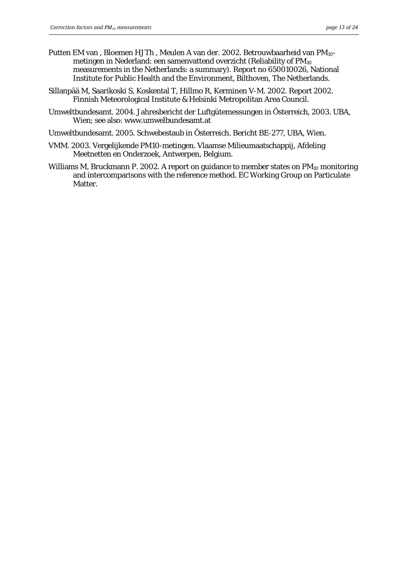- Putten EM van, Bloemen HJTh, Meulen A van der. 2002. Betrouwbaarheid van PM<sub>10</sub>metingen in Nederland: een samenvattend overzicht (Reliability of  $PM_{10}$ ) measurements in the Netherlands: a summary). Report no 650010026, National Institute for Public Health and the Environment, Bilthoven, The Netherlands.
- Sillanpää M, Saarikoski S, Koskental T, Hillmo R, Kerminen V-M. 2002. Report 2002. Finnish Meteorological Institute & Helsinki Metropolitan Area Council.
- Umweltbundesamt. 2004. Jahresbericht der Luftgütemessungen in Österreich, 2003. UBA, Wien; see also: www.umwelbundesamt.at
- Umweltbundesamt. 2005. Schwebestaub in Österreich. Bericht BE-277, UBA, Wien.
- VMM. 2003. Vergelijkende PM10-metingen. Vlaamse Milieumaatschappij, Afdeling Meetnetten en Onderzoek, Antwerpen, Belgium.
- Williams M, Bruckmann P. 2002. A report on guidance to member states on PM<sub>10</sub> monitoring and intercomparisons with the reference method. EC Working Group on Particulate Matter.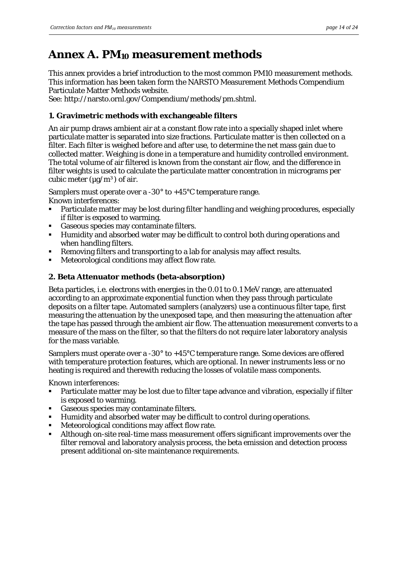# <span id="page-13-0"></span>**Annex A. PM10 measurement methods**

This annex provides a brief introduction to the most common PM10 measurement methods. This information has been taken form the NARSTO Measurement Methods Compendium Particulate Matter Methods website.

See: http://narsto.ornl.gov/Compendium/methods/pm.shtml.

### **1. Gravimetric methods with exchangeable filters**

An air pump draws ambient air at a constant flow rate into a specially shaped inlet where particulate matter is separated into size fractions. Particulate matter is then collected on a filter. Each filter is weighed before and after use, to determine the net mass gain due to collected matter. Weighing is done in a temperature and humidity controlled environment. The total volume of air filtered is known from the constant air flow, and the difference in filter weights is used to calculate the particulate matter concentration in micrograms per cubic meter ( $\mu$ g/m<sup>3</sup>) of air.

Samplers must operate over a -30° to +45°C temperature range. Known interferences:

- Particulate matter may be lost during filter handling and weighing procedures, especially if filter is exposed to warming.
- Gaseous species may contaminate filters.
- Humidity and absorbed water may be difficult to control both during operations and when handling filters.
- Removing filters and transporting to a lab for analysis may affect results.
- Meteorological conditions may affect flow rate.

### **2. Beta Attenuator methods (beta-absorption)**

Beta particles*, i.e.* electrons with energies in the 0.01 to 0.1 MeV range, are attenuated according to an approximate exponential function when they pass through particulate deposits on a filter tape. Automated samplers (analyzers) use a continuous filter tape, first measuring the attenuation by the unexposed tape, and then measuring the attenuation after the tape has passed through the ambient air flow. The attenuation measurement converts to a measure of the mass on the filter, so that the filters do not require later laboratory analysis for the mass variable.

Samplers must operate over a -30° to +45°C temperature range. Some devices are offered with temperature protection features, which are optional. In newer instruments less or no heating is required and therewith reducing the losses of volatile mass components.

Known interferences:

- Particulate matter may be lost due to filter tape advance and vibration, especially if filter is exposed to warming.
- Gaseous species may contaminate filters.
- Humidity and absorbed water may be difficult to control during operations.
- Meteorological conditions may affect flow rate.
- Although on-site real-time mass measurement offers significant improvements over the filter removal and laboratory analysis process, the beta emission and detection process present additional on-site maintenance requirements.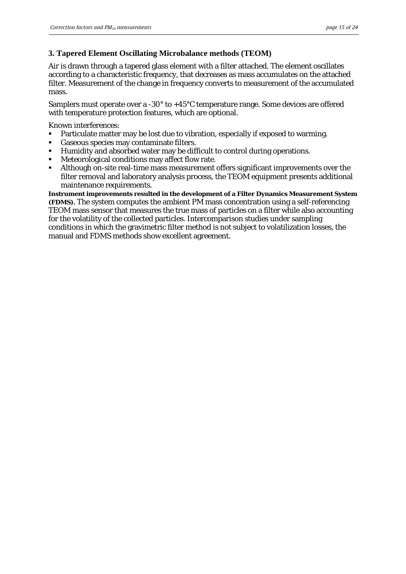### **3. Tapered Element Oscillating Microbalance methods (TEOM)**

Air is drawn through a tapered glass element with a filter attached. The element oscillates according to a characteristic frequency, that decreases as mass accumulates on the attached filter. Measurement of the change in frequency converts to measurement of the accumulated mass.

Samplers must operate over a -30° to +45°C temperature range. Some devices are offered with temperature protection features, which are optional.

Known interferences:

- Particulate matter may be lost due to vibration, especially if exposed to warming.
- Gaseous species may contaminate filters.
- Humidity and absorbed water may be difficult to control during operations.
- Meteorological conditions may affect flow rate.
- Although on-site real-time mass measurement offers significant improvements over the filter removal and laboratory analysis process, the TEOM equipment presents additional maintenance requirements.

**Instrument improvements resulted in the development of a Filter Dynamics Measurement System (FDMS).** The system computes the ambient PM mass concentration using a self-referencing TEOM mass sensor that measures the true mass of particles on a filter while also accounting for the volatility of the collected particles. Intercomparison studies under sampling conditions in which the gravimetric filter method is not subject to volatilization losses, the manual and FDMS methods show excellent agreement.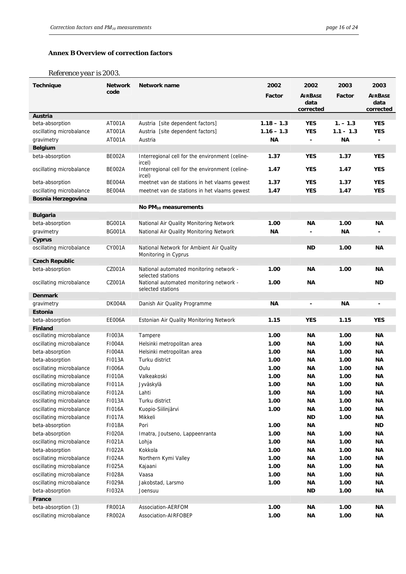#### <span id="page-15-0"></span>**Annex B Overview of correction factors**

#### *Reference year is 2003.*

| <b>Technique</b>                  | <b>Network</b> | Network name                                                 | 2002         | 2002           | 2003        | 2003           |
|-----------------------------------|----------------|--------------------------------------------------------------|--------------|----------------|-------------|----------------|
|                                   | code           |                                                              | Factor       | <b>AIRBASE</b> | Factor      | <b>AIRBASE</b> |
|                                   |                |                                                              |              | data           |             | data           |
| Austria                           |                |                                                              |              | corrected      |             | corrected      |
| beta-absorption                   | AT001A         | Austria [site dependent factors]                             | $1.18 - 1.3$ | <b>YES</b>     | $1. - 1.3$  | <b>YES</b>     |
| oscillating microbalance          | AT001A         | Austria [site dependent factors]                             | $1.16 - 1.3$ | <b>YES</b>     | $1.1 - 1.3$ | <b>YES</b>     |
| gravimetry                        | AT001A         | Austria                                                      | <b>NA</b>    | $\blacksquare$ | <b>NA</b>   |                |
| <b>Belgium</b>                    |                |                                                              |              |                |             |                |
| beta-absorption                   | BE002A         | Interregional cell for the environment (celine-              | 1.37         | <b>YES</b>     | 1.37        | <b>YES</b>     |
|                                   |                | ircel)                                                       |              |                |             |                |
| oscillating microbalance          | BE002A         | Interregional cell for the environment (celine-<br>ircel)    | 1.47         | <b>YES</b>     | 1.47        | <b>YES</b>     |
| beta-absorption                   | BE004A         | meetnet van de stations in het vlaams gewest                 | 1.37         | <b>YES</b>     | 1.37        | <b>YES</b>     |
| oscillating microbalance          | BE004A         | meetnet van de stations in het vlaams gewest                 | 1.47         | <b>YES</b>     | 1.47        | <b>YES</b>     |
| Bosnia Herzegovina                |                |                                                              |              |                |             |                |
|                                   |                | No $PM_{10}$ measurements                                    |              |                |             |                |
| <b>Bulgaria</b>                   |                |                                                              |              |                |             |                |
| beta-absorption                   | <b>BG001A</b>  | National Air Quality Monitoring Network                      | 1.00         | ΝA             | 1.00        | ΝA             |
| gravimetry                        | <b>BG001A</b>  | National Air Quality Monitoring Network                      | <b>NA</b>    |                | ΝA          |                |
| Cyprus                            |                |                                                              |              |                |             |                |
| oscillating microbalance          | CY001A         | National Network for Ambient Air Quality                     |              | ND             | 1.00        | ΝA             |
| <b>Czech Republic</b>             |                | Monitoring in Cyprus                                         |              |                |             |                |
| beta-absorption                   | CZ001A         | National automated monitoring network -                      | 1.00         | <b>NA</b>      | 1.00        | <b>NA</b>      |
| oscillating microbalance          | CZ001A         | selected stations<br>National automated monitoring network - | 1.00         | ΝA             |             | ND             |
|                                   |                | selected stations                                            |              |                |             |                |
| <b>Denmark</b>                    |                |                                                              |              |                |             |                |
| gravimetry                        | DK004A         | Danish Air Quality Programme                                 | ΝA           | $\blacksquare$ | ΝA          |                |
| Estonia                           |                |                                                              | 1.15         | <b>YES</b>     |             | <b>YES</b>     |
| beta-absorption<br><b>Finland</b> | EE006A         | Estonian Air Quality Monitoring Network                      |              |                | 1.15        |                |
| oscillating microbalance          | F1003A         | Tampere                                                      | 1.00         | ΝA             | 1.00        | ΝA             |
| oscillating microbalance          | <b>FI004A</b>  | Helsinki metropolitan area                                   | 1.00         | ΝA             | 1.00        | ΝA             |
| beta-absorption                   | F1004A         | Helsinki metropolitan area                                   | 1.00         | ΝA             | 1.00        | ΝA             |
| beta-absorption                   | <b>FI013A</b>  | Turku district                                               | 1.00         | ΝA             | 1.00        | ΝA             |
| oscillating microbalance          | <b>FI006A</b>  | Oulu                                                         | 1.00         | ΝA             | 1.00        | ΝA             |
| oscillating microbalance          | <b>FI010A</b>  | Valkeakoski                                                  | 1.00         | ΝA             | 1.00        | ΝA             |
| oscillating microbalance          | <b>FI011A</b>  | Jyväskylä                                                    | 1.00         | <b>NA</b>      | 1.00        | ΝA             |
| oscillating microbalance          | F1012A         | Lahti                                                        | 1.00         | ΝA             | 1.00        | ΝA             |
| oscillating microbalance          | F1013A         | Turku district                                               | 1.00         | ΝA             | 1.00        | ΝA             |
| oscillating microbalance          | <b>FI016A</b>  | Kuopio-Siilinjärvi                                           | 1.00         | ΝA             | 1.00        | ΝA             |
| oscillating microbalance          | <b>FI017A</b>  | Mikkeli                                                      |              | ND             | 1.00        | ΝA             |
| beta-absorption                   | <b>FI018A</b>  | Pori                                                         | 1.00         | ΝA             |             | <b>ND</b>      |
| beta-absorption                   | F1020A         | Imatra, Joutseno, Lappeenranta                               | 1.00         | ΝA             | 1.00        | ΝA             |
| oscillating microbalance          | F1021A         | Lohja                                                        | 1.00         | ΝA             | 1.00        | ΝA             |
| beta-absorption                   | F1022A         | Kokkola                                                      | 1.00         | ΝA             | 1.00        | ΝA             |
| oscillating microbalance          | F1024A         | Northern Kymi Valley                                         | 1.00         | ΝA             | 1.00        | ΝA             |
| oscillating microbalance          | F1025A         | Kajaani                                                      | 1.00         | ΝA             | 1.00        | ΝA             |
| oscillating microbalance          | F1028A         | Vaasa                                                        | 1.00         | ΝA             | 1.00        | ΝA             |
| oscillating microbalance          | F1029A         | Jakobstad, Larsmo                                            | 1.00         | ΝA             | 1.00        | ΝA             |
| beta-absorption                   | F1032A         | Joensuu                                                      |              | ND             | 1.00        | ΝA             |
| France                            |                |                                                              |              |                |             |                |
| beta-absorption (3)               | <b>FR001A</b>  | Association-AERFOM                                           | 1.00         | ΝA             | 1.00        | ΝA             |
| oscillating microbalance          | <b>FR002A</b>  | Association-AIRFOBEP                                         | 1.00         | ΝA             | 1.00        | <b>NA</b>      |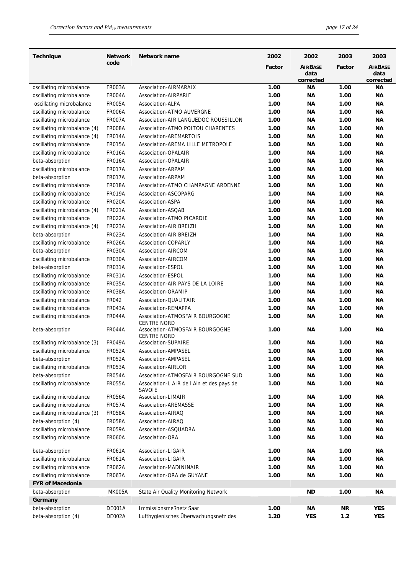| <b>Technique</b>             | <b>Network</b> | Network name                                          | 2002   | 2002                   | 2003      | 2003                   |
|------------------------------|----------------|-------------------------------------------------------|--------|------------------------|-----------|------------------------|
|                              | code           |                                                       | Factor | <b>AIRBASE</b><br>data | Factor    | <b>AIRBASE</b><br>data |
|                              |                |                                                       |        | corrected              |           | corrected              |
| oscillating microbalance     | <b>FR003A</b>  | Association-AIRMARAIX                                 | 1.00   | ΝA                     | 1.00      | <b>NA</b>              |
| oscillating microbalance     | <b>FR004A</b>  | Association-AIRPARIF                                  | 1.00   | ΝA                     | 1.00      | ΝA                     |
| oscillating microbalance     | <b>FR005A</b>  | Association-ALPA                                      | 1.00   | <b>NA</b>              | 1.00      | <b>NA</b>              |
| oscillating microbalance     | <b>FR006A</b>  | Association-ATMO AUVERGNE                             | 1.00   | ΝA                     | 1.00      | ΝA                     |
| oscillating microbalance     | <b>FR007A</b>  | Association-AIR LANGUEDOC ROUSSILLON                  | 1.00   | ΝA                     | 1.00      | ΝA                     |
| oscillating microbalance (4) | <b>FR008A</b>  | Association-ATMO POITOU CHARENTES                     | 1.00   | <b>NA</b>              | 1.00      | <b>NA</b>              |
| oscillating microbalance (4) | <b>FR014A</b>  | <b>Association-AREMARTOIS</b>                         | 1.00   | <b>NA</b>              | 1.00      | <b>NA</b>              |
| oscillating microbalance     | <b>FR015A</b>  | Association-AREMA LILLE METROPOLE                     | 1.00   | <b>NA</b>              | 1.00      | <b>NA</b>              |
| oscillating microbalance     | <b>FR016A</b>  | Association-OPALAIR                                   | 1.00   | ΝA                     | 1.00      | <b>NA</b>              |
| beta-absorption              | <b>FR016A</b>  | Association-OPALAIR                                   | 1.00   | ΝA                     | 1.00      | ΝA                     |
| oscillating microbalance     | <b>FR017A</b>  | Association-ARPAM                                     | 1.00   | ΝA                     | 1.00      | ΝA                     |
| beta-absorption              | <b>FR017A</b>  | Association-ARPAM                                     | 1.00   | <b>NA</b>              | 1.00      | <b>NA</b>              |
| oscillating microbalance     | <b>FR018A</b>  | Association-ATMO CHAMPAGNE ARDENNE                    | 1.00   | <b>NA</b>              | 1.00      | <b>NA</b>              |
| oscillating microbalance     | <b>FR019A</b>  | Association-ASCOPARG                                  | 1.00   | ΝA                     | 1.00      | ΝA                     |
| oscillating microbalance     | <b>FR020A</b>  | Association-ASPA                                      | 1.00   | ΝA                     | 1.00      | ΝA                     |
| oscillating microbalance (4) | <b>FR021A</b>  | Association-ASQAB                                     | 1.00   | ΝA                     | 1.00      | ΝA                     |
| oscillating microbalance     | <b>FR022A</b>  | Association-ATMO PICARDIE                             | 1.00   | ΝA                     | 1.00      | ΝA                     |
| oscillating microbalance (4) | <b>FR023A</b>  | <b>Association-AIR BREIZH</b>                         | 1.00   | ΝA                     | 1.00      | ΝA                     |
| beta-absorption              | <b>FR023A</b>  | <b>Association-AIR BREIZH</b>                         | 1.00   | ΝA                     | 1.00      | ΝA                     |
| oscillating microbalance     | <b>FR026A</b>  | Association-COPARLY                                   | 1.00   | ΝA                     | 1.00      | ΝA                     |
| beta-absorption              | <b>FR030A</b>  | Association-AIRCOM                                    | 1.00   | ΝA                     | 1.00      | ΝA                     |
| oscillating microbalance     | <b>FR030A</b>  | Association-AIRCOM                                    | 1.00   | ΝA                     | 1.00      | ΝA                     |
| beta-absorption              | <b>FR031A</b>  | Association-ESPOL                                     | 1.00   | ΝA                     | 1.00      | ΝA                     |
| oscillating microbalance     | <b>FR031A</b>  | Association-ESPOL                                     | 1.00   | ΝA                     | 1.00      | ΝA                     |
| oscillating microbalance     | <b>FR035A</b>  | Association-AIR PAYS DE LA LOIRE                      | 1.00   | ΝA                     | 1.00      | ΝA                     |
| oscillating microbalance     | <b>FR038A</b>  | Association-ORAMIP                                    | 1.00   | ΝA                     | 1.00      | ΝA                     |
| oscillating microbalance     | FR042          | Association-QUALITAIR                                 | 1.00   | ΝA                     | 1.00      | ΝA                     |
| oscillating microbalance     | <b>FR043A</b>  | Association-REMAPPA                                   | 1.00   | ΝA                     | 1.00      | ΝA                     |
| oscillating microbalance     | <b>FR044A</b>  | Association-ATMOSFAIR BOURGOGNE<br><b>CENTRE NORD</b> | 1.00   | ΝA                     | 1.00      | ΝA                     |
| beta-absorption              | <b>FR044A</b>  | Association-ATMOSFAIR BOURGOGNE<br>CENTRE NORD        | 1.00   | <b>NA</b>              | 1.00      | <b>NA</b>              |
| oscillating microbalance (3) | <b>FR049A</b>  | <b>Association-SUPAIRE</b>                            | 1.00   | ΝA                     | 1.00      | ΝA                     |
| oscillating microbalance     | <b>FR052A</b>  | Association-AMPASEL                                   | 1.00   | ΝA                     | 1.00      | ΝA                     |
| beta-absorption              | <b>FR052A</b>  | Association-AMPASEL                                   | 1.00   | <b>NA</b>              | 1.00      | ΝA                     |
| oscillating microbalance     | <b>FR053A</b>  | Association-AIRLOR                                    | 1.00   | <b>NA</b>              | 1.00      | <b>NA</b>              |
| beta-absorption              | <b>FR054A</b>  | Association-ATMOSFAIR BOURGOGNE SUD                   | 1.00   | <b>NA</b>              | 1.00      | <b>NA</b>              |
| oscillating microbalance     | <b>FR055A</b>  | Association-L AIR de I Ain et des pays de<br>SAVOIE   | 1.00   | ΝA                     | 1.00      | ΝA                     |
| oscillating microbalance     | <b>FR056A</b>  | Association-LIMAIR                                    | 1.00   | ΝA                     | 1.00      | ΝA                     |
| oscillating microbalance     | <b>FR057A</b>  | Association-AREMASSE                                  | 1.00   | <b>NA</b>              | 1.00      | ΝA                     |
| oscillating microbalance (3) | <b>FR058A</b>  | Association-AIRAQ                                     | 1.00   | ΝA                     | 1.00      | <b>NA</b>              |
| beta-absorption (4)          | <b>FR058A</b>  | Association-AIRAQ                                     | 1.00   | ΝA                     | 1.00      | ΝA                     |
| oscillating microbalance     | <b>FR059A</b>  | Association-ASQUADRA                                  | 1.00   | ΝA                     | 1.00      | ΝA                     |
| oscillating microbalance     | <b>FR060A</b>  | Association-ORA                                       | 1.00   | ΝA                     | 1.00      | ΝA                     |
| beta-absorption              | <b>FR061A</b>  | Association-LIGAIR                                    | 1.00   | ΝA                     | 1.00      | ΝA                     |
| oscillating microbalance     | <b>FR061A</b>  | Association-LIGAIR                                    | 1.00   | ΝA                     | 1.00      | ΝA                     |
| oscillating microbalance     | <b>FR062A</b>  | Association-MADININAIR                                | 1.00   | ΝA                     | 1.00      | ΝA                     |
| oscillating microbalance     | <b>FR063A</b>  | Association-ORA de GUYANE                             | 1.00   | ΝA                     | 1.00      | ΝA                     |
| <b>FYR of Macedonia</b>      |                |                                                       |        |                        |           |                        |
| beta-absorption              | <b>MK005A</b>  | State Air Quality Monitoring Network                  |        | <b>ND</b>              | 1.00      | ΝA                     |
| Germany                      |                |                                                       |        |                        |           |                        |
| beta-absorption              | DE001A         | Immissionsmeßnetz Saar                                | 1.00   | ΝA                     | <b>NR</b> | <b>YES</b>             |
| beta-absorption (4)          | DE002A         | Lufthygienisches Überwachungsnetz des                 | 1.20   | <b>YES</b>             | $1.2$     | <b>YES</b>             |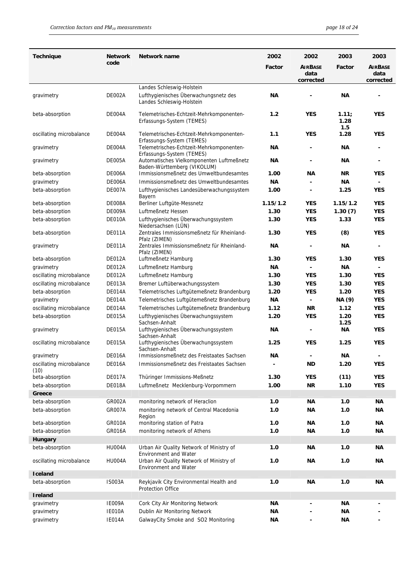| <b>Technique</b>                 | <b>Network</b> | Network name                                                             | 2002          | 2002                     | 2003                 | 2003              |
|----------------------------------|----------------|--------------------------------------------------------------------------|---------------|--------------------------|----------------------|-------------------|
|                                  | code           |                                                                          | <b>Factor</b> | <b>AIRBASE</b>           | Factor               | <b>AIRBASE</b>    |
|                                  |                |                                                                          |               | data<br>corrected        |                      | data<br>corrected |
|                                  |                | Landes Schleswig-Holstein                                                |               |                          |                      |                   |
| gravimetry                       | DE002A         | Lufthygienisches Überwachungsnetz des<br>Landes Schleswig-Holstein       | <b>NA</b>     |                          | ΝA                   | ÷                 |
| beta-absorption                  | DE004A         | Telemetrisches-Echtzeit-Mehrkomponenten-<br>Erfassungs-System (TEMES)    | 1.2           | <b>YES</b>               | 1.11;<br>1.28<br>1.5 | <b>YES</b>        |
| oscillating microbalance         | DE004A         | Telemetrisches-Echtzeit-Mehrkomponenten-<br>Erfassungs-System (TEMES)    | 1.1           | <b>YES</b>               | 1.28                 | <b>YES</b>        |
| gravimetry                       | DE004A         | Telemetrisches-Echtzeit-Mehrkomponenten-<br>Erfassungs-System (TEMES)    | ΝA            | $\blacksquare$           | ΝA                   | ۰                 |
| gravimetry                       | DE005A         | Automatisches Vielkomponenten Luftmeßnetz<br>Baden-Württemberg (VIKOLUM) | <b>NA</b>     |                          | ΝA                   | -                 |
| beta-absorption                  | DE006A         | Immissionsmeßnetz des Umweltbundesamtes                                  | 1.00          | <b>NA</b>                | <b>NR</b>            | <b>YES</b>        |
| gravimetry                       | DE006A         | Immissionsmeßnetz des Umweltbundesamtes                                  | <b>NA</b>     |                          | <b>NA</b>            |                   |
| beta-absorption                  | DE007A         | Lufthygienisches Landesüberwachungssystem<br>Bayern                      | 1.00          |                          | 1.25                 | <b>YES</b>        |
| beta-absorption                  | DE008A         | Berliner Luftgüte-Messnetz                                               | 1.15/1.2      | <b>YES</b>               | 1.15/1.2             | <b>YES</b>        |
| beta-absorption                  | DE009A         | Luftmeßnetz Hessen                                                       | 1.30          | <b>YES</b>               | 1.30(7)              | <b>YES</b>        |
| beta-absorption                  | DE010A         | Lufthygienisches Überwachungssystem<br>Niedersachsen (LÜN)               | 1.30          | <b>YES</b>               | 1.33                 | <b>YES</b>        |
| beta-absorption                  | DE011A         | Zentrales Immissionsmeßnetz für Rheinland-<br>Pfalz (ZIMEN)              | 1.30          | <b>YES</b>               | (8)                  | <b>YES</b>        |
| gravimetry                       | DE011A         | Zentrales Immissionsmeßnetz für Rheinland-<br>Pfalz (ZIMEN)              | ΝA            | $\blacksquare$           | ΝA                   | -                 |
| beta-absorption                  | DE012A         | Luftmeßnetz Hamburg                                                      | 1.30          | <b>YES</b>               | 1.30                 | <b>YES</b>        |
| gravimetry                       | DE012A         | Luftmeßnetz Hamburg                                                      | <b>NA</b>     |                          | ΝA                   | $\blacksquare$    |
| oscillating microbalance         | DE012A         | Luftmeßnetz Hamburg                                                      | 1.30          | <b>YES</b>               | 1.30                 | <b>YES</b>        |
| oscillating microbalance         | DE013A         | Bremer Luftüberwachungssystem                                            | 1.30          | <b>YES</b>               | 1.30                 | <b>YES</b>        |
| beta-absorption                  | DE014A         | Telemetrisches Luftgütemeßnetz Brandenburg                               | 1.20          | <b>YES</b>               | 1.20                 | <b>YES</b>        |
| gravimetry                       | DE014A         | Telemetrisches Luftgütemeßnetz Brandenburg                               | <b>NA</b>     | $\blacksquare$           | NA (9)               | <b>YES</b>        |
| oscillating microbalance         | DE014A         | Telemetrisches Luftgütemeßnetz Brandenburg                               | 1.12          | <b>NR</b>                | 1.12                 | <b>YES</b>        |
| beta-absorption                  | DE015A         | Lufthygienisches Überwachungssystem<br>Sachsen-Anhalt                    | 1.20          | <b>YES</b>               | 1.20<br>1.25         | <b>YES</b>        |
| gravimetry                       | DE015A         | Lufthygienisches Überwachungssystem<br>Sachsen-Anhalt                    | ΝA            | $\blacksquare$           | ΝA                   | <b>YES</b>        |
| oscillating microbalance         | DE015A         | Lufthygienisches Überwachungssystem<br>Sachsen-Anhalt                    | 1.25          | <b>YES</b>               | 1.25                 | <b>YES</b>        |
| gravimetry                       | DE016A         | Immissionsmeßnetz des Freistaates Sachsen                                | <b>NA</b>     | $\overline{\phantom{a}}$ | <b>NA</b>            |                   |
| oscillating microbalance<br>(10) | DE016A         | Immissionsmeßnetz des Freistaates Sachsen                                |               | <b>ND</b>                | 1.20                 | <b>YES</b>        |
| beta-absorption                  | DE017A         | Thüringer Immissions-Meßnetz                                             | 1.30          | <b>YES</b>               | (11)                 | <b>YES</b>        |
| beta-absorption                  | DE018A         | Luftmeßnetz Mecklenburg-Vorpommern                                       | 1.00          | ΝR                       | 1.10                 | <b>YES</b>        |
| Greece                           |                |                                                                          |               |                          |                      |                   |
| beta-absorption                  | <b>GR002A</b>  | monitoring network of Heraclion                                          | 1.0           | ΝA                       | 1.0                  | <b>NA</b>         |
| beta-absorption                  | <b>GR007A</b>  | monitoring network of Central Macedonia<br>Region                        | 1.0           | <b>NA</b>                | 1.0                  | NА                |
| beta-absorption                  | GR010A         | monitoring station of Patra                                              | 1.0           | <b>NA</b>                | 1.0                  | <b>NA</b>         |
| beta-absorption                  | <b>GR016A</b>  | monitoring network of Athens                                             | 1.0           | <b>NA</b>                | 1.0                  | NА                |
| Hungary                          |                |                                                                          |               |                          |                      |                   |
| beta-absorption                  | <b>HU004A</b>  | Urban Air Quality Network of Ministry of<br><b>Environment and Water</b> | 1.0           | <b>NA</b>                | 1.0                  | NА                |
| oscillating microbalance         | HU004A         | Urban Air Quality Network of Ministry of<br><b>Environment and Water</b> | 1.0           | ΝA                       | 1.0                  | ΝA                |
| Iceland                          |                |                                                                          |               |                          |                      |                   |
| beta-absorption                  | <b>IS003A</b>  | Reykjavik City Environmental Health and<br>Protection Office             | 1.0           | ΝA                       | 1.0                  | <b>NA</b>         |
| <b>Ireland</b>                   |                |                                                                          |               |                          |                      |                   |
| gravimetry                       | IE009A         | Cork City Air Monitoring Network                                         | <b>NA</b>     | $\blacksquare$           | <b>NA</b>            |                   |
| gravimetry                       | <b>IE010A</b>  | Dublin Air Monitoring Network                                            | ΝA            |                          | ΝA                   |                   |
| gravimetry                       | IE014A         | GalwayCity Smoke and SO2 Monitoring                                      | ΝA            | -                        | ΝA                   |                   |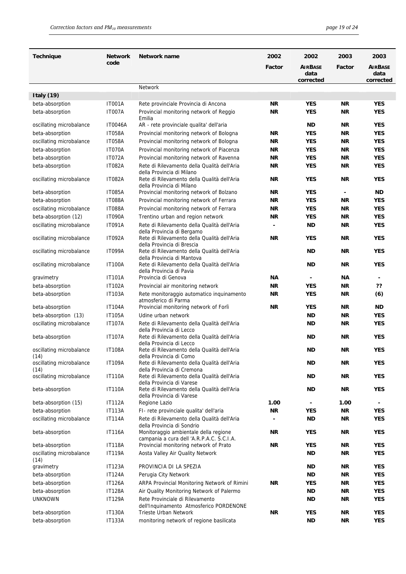| <b>Technique</b>                 | <b>Network</b> | Network name                                                                       | 2002      | 2002                   | 2003           | 2003                   |
|----------------------------------|----------------|------------------------------------------------------------------------------------|-----------|------------------------|----------------|------------------------|
|                                  | code           |                                                                                    | Factor    | <b>AIRBASE</b><br>data | Factor         | <b>AIRBASE</b><br>data |
|                                  |                | Network                                                                            |           | corrected              |                | corrected              |
| Italy $(19)$                     |                |                                                                                    |           |                        |                |                        |
| beta-absorption                  | <b>IT001A</b>  | Rete provinciale Provincia di Ancona                                               | ΝR        | <b>YES</b>             | ΝR             | <b>YES</b>             |
| beta-absorption                  | <b>IT007A</b>  | Provincial monitoring network of Reggio                                            | ΝR        | <b>YES</b>             | ΝR             | <b>YES</b>             |
| oscillating microbalance         | <b>IT0046A</b> | Emilia<br>AR - rete provinciale qualita' dell'aria                                 |           | ND                     | ΝR             | <b>YES</b>             |
| beta-absorption                  | <b>IT058A</b>  | Provincial monitoring network of Bologna                                           | ΝR        | <b>YES</b>             | ΝR             | <b>YES</b>             |
| oscillating microbalance         | <b>IT058A</b>  | Provincial monitoring network of Bologna                                           | ΝR        | <b>YES</b>             | ΝR             | <b>YES</b>             |
| beta-absorption                  | <b>IT070A</b>  | Provincial monitoring network of Piacenza                                          | ΝR        | <b>YES</b>             | ΝR             | <b>YES</b>             |
| beta-absorption                  | <b>IT072A</b>  | Provincial monitoring network of Ravenna                                           | ΝR        | <b>YES</b>             | ΝR             | <b>YES</b>             |
| beta-absorption                  | <b>IT082A</b>  | Rete di Rilevamento della Qualità dell'Aria                                        | ΝR        | <b>YES</b>             | ΝR             | <b>YES</b>             |
| oscillating microbalance         | <b>IT082A</b>  | della Provincia di Milano<br>Rete di Rilevamento della Qualità dell'Aria           | ΝR        | <b>YES</b>             | ΝR             | <b>YES</b>             |
|                                  |                | della Provincia di Milano                                                          |           |                        |                |                        |
| beta-absorption                  | <b>IT085A</b>  | Provincial monitoring network of Bolzano                                           | ΝR        | <b>YES</b>             | $\blacksquare$ | ND                     |
| beta-absorption                  | <b>IT088A</b>  | Provincial monitoring network of Ferrara                                           | NR.       | <b>YES</b>             | <b>NR</b>      | <b>YES</b>             |
| oscillating microbalance         | <b>IT088A</b>  | Provincial monitoring network of Ferrara                                           | NR.       | <b>YES</b>             | <b>NR</b>      | <b>YES</b>             |
| beta-absorption (12)             | <b>IT090A</b>  | Trentino urban and region network                                                  | NR.       | <b>YES</b>             | <b>NR</b>      | <b>YES</b>             |
| oscillating microbalance         | <b>IT091A</b>  | Rete di Rilevamento della Qualità dell'Aria<br>della Provincia di Bergamo          |           | ND                     | <b>NR</b>      | <b>YES</b>             |
| oscillating microbalance         | <b>IT092A</b>  | Rete di Rilevamento della Qualità dell'Aria<br>della Provincia di Brescia          | NR.       | <b>YES</b>             | ΝR             | <b>YES</b>             |
| oscillating microbalance         | <b>IT099A</b>  | Rete di Rilevamento della Qualità dell'Aria<br>della Provincia di Mantova          |           | ND                     | ΝR             | <b>YES</b>             |
| oscillating microbalance         | <b>IT100A</b>  | Rete di Rilevamento della Qualità dell'Aria<br>della Provincia di Pavia            |           | ND                     | ΝR             | <b>YES</b>             |
| gravimetry                       | <b>IT101A</b>  | Provincia di Genova                                                                | ΝA        |                        | ΝA             | $\blacksquare$         |
| beta-absorption                  | <b>IT102A</b>  | Provincial air monitoring network                                                  | ΝR        | <b>YES</b>             | ΝR             | ??                     |
| beta-absorption                  | <b>IT103A</b>  | Rete monitoraggio automatico inquinamento<br>atmosferico di Parma                  | ΝR        | <b>YES</b>             | ΝR             | (6)                    |
| beta-absorption                  | <b>IT104A</b>  | Provincial monitoring network of Forlì                                             | ΝR        | <b>YES</b>             | ΝR             | <b>ND</b>              |
| beta-absorption (13)             | <b>IT105A</b>  | Udine urban network                                                                |           | <b>ND</b>              | ΝR             | <b>YES</b>             |
| oscillating microbalance         | <b>IT107A</b>  | Rete di Rilevamento della Qualità dell'Aria<br>della Provincia di Lecco            |           | ND                     | ΝR             | <b>YES</b>             |
| beta-absorption                  | <b>IT107A</b>  | Rete di Rilevamento della Qualità dell'Aria<br>della Provincia di Lecco            |           | <b>ND</b>              | ΝR             | <b>YES</b>             |
| oscillating microbalance<br>(14) | <b>IT108A</b>  | Rete di Rilevamento della Qualità dell'Aria<br>della Provincia di Como             |           | <b>ND</b>              | <b>NR</b>      | <b>YES</b>             |
| oscillating microbalance<br>(14) | <b>IT109A</b>  | Rete di Rilevamento della Qualità dell'Aria<br>della Provincia di Cremona          |           | ND                     | ΝR             | <b>YES</b>             |
| oscillating microbalance         | <b>IT110A</b>  | Rete di Rilevamento della Qualità dell'Aria<br>della Provincia di Varese           |           | ND                     | ΝR             | <b>YES</b>             |
| beta-absorption                  | <b>IT110A</b>  | Rete di Rilevamento della Qualità dell'Aria<br>della Provincia di Varese           |           | ND                     | ΝR             | <b>YES</b>             |
| beta-absorption (15)             | <b>IT112A</b>  | Regione Lazio                                                                      | 1.00      |                        | 1.00           |                        |
| beta-absorption                  | <b>IT113A</b>  | FI- rete provinciale qualita' dell'aria                                            | NR        | <b>YES</b>             | <b>NR</b>      | <b>YES</b>             |
| oscillating microbalance         | <b>IT114A</b>  | Rete di Rilevamento della Qualità dell'Aria<br>della Provincia di Sondrio          |           | <b>ND</b>              | <b>NR</b>      | <b>YES</b>             |
| beta-absorption                  | <b>IT116A</b>  | Monitoraggio ambientale della regione<br>campania a cura dell 'A.R.P.A.C. S.C.I.A. | ΝR        | <b>YES</b>             | ΝR             | <b>YES</b>             |
| beta-absorption                  | <b>IT118A</b>  | Provincial monitoring network of Prato                                             | NR        | <b>YES</b>             | <b>NR</b>      | <b>YES</b>             |
| oscillating microbalance<br>(14) | <b>IT119A</b>  | Aosta Valley Air Quality Network                                                   |           | ND                     | <b>NR</b>      | <b>YES</b>             |
| gravimetry                       | <b>IT123A</b>  | PROVINCIA DI LA SPEZIA                                                             |           | ND                     | ΝR             | <b>YES</b>             |
| beta-absorption                  | <b>IT124A</b>  | Perugia City Network                                                               |           | <b>ND</b>              | ΝR             | <b>YES</b>             |
| beta-absorption                  | <b>IT126A</b>  | ARPA Provincial Monitoring Network of Rimini                                       | ΝR        | <b>YES</b>             | ΝR             | <b>YES</b>             |
| beta-absorption                  | <b>IT128A</b>  | Air Quality Monitoring Network of Palermo                                          |           | ND                     | ΝR             | <b>YES</b>             |
| <b>UNKNOWN</b>                   | <b>IT129A</b>  | Rete Provinciale di Rilevamento<br>dell'Inquinamento Atmosferico PORDENONE         |           | <b>ND</b>              | <b>NR</b>      | <b>YES</b>             |
| beta-absorption                  | <b>IT130A</b>  | Trieste Urban Network                                                              | <b>NR</b> | <b>YES</b>             | <b>NR</b>      | <b>YES</b>             |
| beta-absorption                  | <b>IT133A</b>  | monitoring network of regione basilicata                                           |           | <b>ND</b>              | ΝR             | <b>YES</b>             |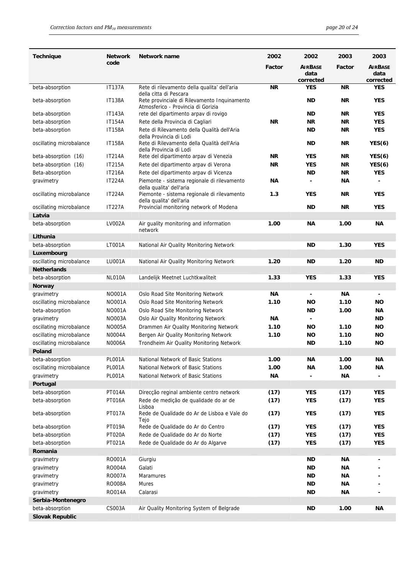| <b>Technique</b>         | Network       | Network name                                                                       | 2002      | 2002                   | 2003      | 2003                   |
|--------------------------|---------------|------------------------------------------------------------------------------------|-----------|------------------------|-----------|------------------------|
|                          | code          |                                                                                    | Factor    | <b>AIRBASE</b><br>data | Factor    | <b>AIRBASE</b><br>data |
|                          |               |                                                                                    |           | corrected              |           | corrected              |
| beta-absorption          | <b>IT137A</b> | Rete di rilevamento della qualita' dell'aria<br>della citta di Pescara             | NR.       | <b>YES</b>             | ΝR        | <b>YES</b>             |
| beta-absorption          | <b>IT138A</b> | Rete provinciale di Rilevamento Inquinamento<br>Atmosferico - Provincia di Gorizia |           | <b>ND</b>              | ΝR        | <b>YES</b>             |
| beta-absorption          | <b>IT143A</b> | rete del dipartimento arpav di rovigo                                              |           | <b>ND</b>              | NR.       | <b>YES</b>             |
| beta-absorption          | <b>IT154A</b> | Rete della Provincia di Cagliari                                                   | <b>NR</b> | <b>NR</b>              | NR.       | <b>YES</b>             |
| beta-absorption          | <b>IT158A</b> | Rete di Rilevamento della Qualità dell'Aria                                        |           | <b>ND</b>              | NR.       | <b>YES</b>             |
| oscillating microbalance | <b>IT158A</b> | della Provincia di Lodi<br>Rete di Rilevamento della Qualità dell'Aria             |           | ND.                    | <b>NR</b> | YES(6)                 |
|                          |               | della Provincia di Lodi                                                            |           |                        |           |                        |
| beta-absorption (16)     | <b>IT214A</b> | Rete del dipartimento arpav di Venezia                                             | <b>NR</b> | <b>YES</b>             | NR.       | YES(6)                 |
| beta-absorption (16)     | IT215A        | Rete del dipartimento arpav di Verona                                              | ΝR        | <b>YES</b>             | NR.       | YES(6)                 |
| Beta-absorption          | <b>IT216A</b> | Rete del dipartimento arpav di Vicenza                                             |           | ND                     | NR.       | <b>YES</b>             |
| gravimetry               | <b>IT224A</b> | Piemonte - sistema regionale di rilevamento<br>della qualita' dell'aria            | ΝA        | $\blacksquare$         | ΝA        | $\overline{a}$         |
| oscillating microbalance | <b>IT224A</b> | Piemonte - sistema regionale di rilevamento<br>della qualita' dell'aria            | 1.3       | <b>YES</b>             | <b>NR</b> | <b>YES</b>             |
| oscillating microbalance | <b>IT227A</b> | Provincial monitoring network of Modena                                            |           | <b>ND</b>              | NR.       | <b>YES</b>             |
| Latvia                   |               |                                                                                    |           |                        |           |                        |
| beta-absorption          | <b>LV002A</b> | Air guality monitoring and information<br>network                                  | 1.00      | <b>NA</b>              | 1.00      | ΝA                     |
| Lithunia                 |               |                                                                                    |           |                        |           |                        |
| beta-absorption          | <b>LT001A</b> | National Air Quality Monitoring Network                                            |           | ND                     | 1.30      | <b>YES</b>             |
| Luxembourg               |               |                                                                                    |           |                        |           |                        |
| oscillating microbalance | <b>LU001A</b> | National Air Quality Monitoring Network                                            | 1.20      | ND                     | 1.20      | <b>ND</b>              |
| <b>Netherlands</b>       |               |                                                                                    |           |                        |           |                        |
| beta-absorption          | NL010A        | Landelijk Meetnet Luchtkwaliteit                                                   | 1.33      | <b>YES</b>             | 1.33      | <b>YES</b>             |
| <b>Norway</b>            |               |                                                                                    |           |                        |           |                        |
| gravimetry               | <b>NO001A</b> | Oslo Road Site Monitoring Network                                                  | ΝA        | $\blacksquare$         | ΝA        |                        |
| oscillating microbalance | <b>NO001A</b> | Oslo Road Site Monitoring Network                                                  | 1.10      | ΝO                     | 1.10      | <b>NO</b>              |
| beta-absorption          | <b>NO001A</b> | Oslo Road Site Monitoring Network                                                  |           | ND                     | 1.00      | ΝA                     |
| gravimetry               | <b>NO003A</b> | Oslo Air Quality Monitoring Network                                                | ΝA        | $\blacksquare$         |           | ND.                    |
| oscillating microbalance | <b>NO005A</b> | Drammen Air Quality Monitoring Network                                             | 1.10      | ΝO                     | 1.10      | <b>NO</b>              |
| oscillating microbalance | N0004A        | Bergen Air Quality Monitoring Network                                              | 1.10      | ΝO                     | 1.10      | <b>NO</b>              |
| oscillating microbalance | N0006A        | Trondheim Air Quality Monitoring Network                                           |           | ND                     | 1.10      | ΝO                     |
| Poland                   |               |                                                                                    |           |                        |           |                        |
| beta-absorption          | <b>PL001A</b> | National Network of Basic Stations                                                 | 1.00      | ΝA                     | 1.00      | ΝA                     |
| oscillating microbalance | <b>PL001A</b> | National Network of Basic Stations                                                 | 1.00      | <b>NA</b>              | 1.00      | ΝA                     |
| gravimetry               | <b>PL001A</b> | National Network of Basic Stations                                                 | ΝA        |                        | ΝA        |                        |
| Portugal                 |               |                                                                                    |           |                        |           |                        |
| beta-absorption          | PT014A        | Direcção reginal ambiente centro network                                           | (17)      | <b>YES</b>             | (17)      | <b>YES</b>             |
| beta-absorption          | <b>PT016A</b> | Rede de medição de qualidade do ar de<br>Lisboa                                    | (17)      | <b>YES</b>             | (17)      | <b>YES</b>             |
| beta-absorption          | PT017A        | Rede de Qualidade do Ar de Lisboa e Vale do<br>Tejo                                | (17)      | <b>YES</b>             | (17)      | <b>YES</b>             |
| beta-absorption          | PT019A        | Rede de Qualidade do Ar do Centro                                                  | (17)      | <b>YES</b>             | (17)      | <b>YES</b>             |
| beta-absorption          | <b>PT020A</b> | Rede de Qualidade do Ar do Norte                                                   | (17)      | <b>YES</b>             | (17)      | <b>YES</b>             |
| beta-absorption          | PT021A        | Rede de Qualidade do Ar do Algarve                                                 | (17)      | <b>YES</b>             | (17)      | <b>YES</b>             |
| Romania                  |               |                                                                                    |           |                        |           |                        |
| gravimetry               | RO001A        | Giurgiu                                                                            |           | <b>ND</b>              | ΝA        |                        |
| gravimetry               | <b>RO004A</b> | Galati                                                                             |           | <b>ND</b>              | ΝA        |                        |
| gravimetry               | <b>RO007A</b> | Maramures                                                                          |           | <b>ND</b>              | ΝA        |                        |
| gravimetry               | <b>RO008A</b> | Mures                                                                              |           | <b>ND</b>              | ΝA        |                        |
| gravimetry               | RO014A        | Calarasi                                                                           |           | <b>ND</b>              | ΝA        |                        |
| Serbia-Montenegro        |               |                                                                                    |           |                        |           |                        |
| beta-absorption          | CS003A        | Air Quality Monitoring System of Belgrade                                          |           | <b>ND</b>              | 1.00      | ΝA                     |
| <b>Slovak Republic</b>   |               |                                                                                    |           |                        |           |                        |
|                          |               |                                                                                    |           |                        |           |                        |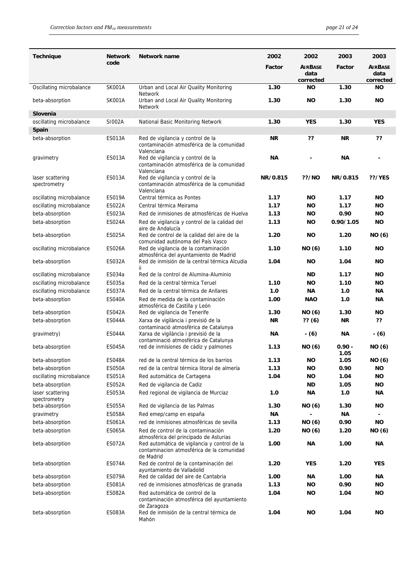| <b>Technique</b>                            | <b>Network</b><br>code         | Network name                                                                                           | 2002         | 2002                   | 2003             | 2003                   |
|---------------------------------------------|--------------------------------|--------------------------------------------------------------------------------------------------------|--------------|------------------------|------------------|------------------------|
|                                             |                                |                                                                                                        | Factor       | <b>AIRBASE</b><br>data | Factor           | <b>AIRBASE</b><br>data |
| Oscillating microbalance                    | <b>SK001A</b>                  | Urban and Local Air Quality Monitoring                                                                 | 1.30         | corrected<br>ΝO        | 1.30             | corrected<br>ΝO        |
| beta-absorption                             | <b>SK001A</b>                  | <b>Network</b><br>Urban and Local Air Quality Monitoring                                               | 1.30         | <b>NO</b>              | 1.30             | ΝO                     |
| Slovenia                                    |                                | <b>Network</b>                                                                                         |              |                        |                  |                        |
| oscillating microbalance                    | S1002A                         | National Basic Monitoring Network                                                                      | 1.30         | <b>YES</b>             | 1.30             | <b>YES</b>             |
| Spain                                       |                                |                                                                                                        |              |                        |                  |                        |
| beta-absorption                             | <b>ES013A</b>                  | Red de vigilancia y control de la<br>contaminación atmosférica de la comunidad<br>Valenciana           | <b>NR</b>    | ??                     | <b>NR</b>        | ??                     |
| gravimetry                                  | <b>ES013A</b>                  | Red de vigilancia y control de la<br>contaminación atmosférica de la comunidad<br>Valenciana           | <b>NA</b>    |                        | ΝA               |                        |
| laser scattering<br>spectrometry            | <b>ES013A</b>                  | Red de vigilancia y control de la<br>contaminación atmosférica de la comunidad<br>Valenciana           | NR/0.815     | <b>??/NO</b>           | NR/0.815         | <b>??/YES</b>          |
| oscillating microbalance                    | <b>ES019A</b>                  | Central térmica as Pontes                                                                              | 1.17         | <b>NO</b>              | 1.17             | ΝO                     |
| oscillating microbalance                    | <b>ES022A</b>                  | Central térmica Meirama                                                                                | 1.17         | <b>NO</b>              | 1.17             | <b>NO</b>              |
| beta-absorption                             | <b>ES023A</b>                  | Red de inmisiones de atmosféricas de Huelva                                                            | 1.13         | <b>NO</b>              | 0.90             | <b>NO</b>              |
| beta-absorption                             | <b>ES024A</b>                  | Red de vigilancia y control de la calidad del                                                          | 1.13         | <b>NO</b>              | 0.90/1.05        | <b>NO</b>              |
| beta-absorption                             | <b>ES025A</b>                  | aire de Andalucía<br>Red de control de la calidad del aire de la<br>comunidad autónoma del País Vasco  | 1.20         | <b>NO</b>              | 1.20             | NO (6)                 |
| oscillating microbalance                    | <b>ES026A</b>                  | Red de vigilancia de la contaminación                                                                  | 1.10         | NO (6)                 | 1.10             | <b>NO</b>              |
| beta-absorption                             | <b>ES032A</b>                  | atmosférica del ayuntamiento de Madrid<br>Red de inmisión de la central térmica Alcudia<br>ii.         | 1.04         | <b>NO</b>              | 1.04             | <b>NO</b>              |
| oscillating microbalance                    | ES034a                         | Red de la control de Alumina-Aluminio                                                                  |              | ND                     | 1.17             | ΝO                     |
| oscillating microbalance                    | ES035a                         | Red de la central térmica Teruel                                                                       | 1.10         | ΝO                     | 1.10             | ΝO                     |
| oscillating microbalance                    | <b>ES037A</b>                  | Red de la central térmica de Anllares                                                                  | 1.0          | ΝA                     | 1.0              | ΝA                     |
| beta-absorption                             | <b>ES040A</b>                  | Red de medida de la contaminación                                                                      | 1.00         | <b>NAO</b>             | 1.0              | ΝA                     |
| beta-absorption                             | <b>ES042A</b>                  | atmosférica de Castilla y León<br>Red de vigilancia de Tenerife                                        | 1.30         | NO (6)                 | 1.30             | ΝO                     |
| beta-absorption                             | ES044A                         | Xarxa de vigilància i previsió de la                                                                   | ΝR           | ??(6)                  | <b>NR</b>        | ??                     |
| gravimetry)                                 | ES044A                         | contaminació atmosfèrica de Catalunya<br>Xarxa de vigilància i previsió de la                          | ΝA           | $-(6)$                 | ΝA               | $-(6)$                 |
|                                             |                                | contaminació atmosfèrica de Catalunya                                                                  |              |                        |                  |                        |
| beta-absorption                             | <b>ES045A</b>                  | red de inmisiones de cádiz y palmones                                                                  | 1.13         | NO (6)                 | $0.90 -$<br>1.05 | NO (6)                 |
| beta-absorption                             | <b>ES048A</b>                  | red de la central térmica de los barrios                                                               | 1.13<br>1.13 | ΝO                     | 1.05<br>0.90     | NO (6)<br><b>NO</b>    |
| beta-absorption<br>oscillating microbalance | <b>ES050A</b><br><b>ES051A</b> | red de la central térmica litoral de almería<br>Red automática de Cartagena                            | 1.04         | ΝO<br>ΝO               | 1.04             | ΝO                     |
| beta-absorption                             | <b>ES052A</b>                  | Red de vigilancia de Cadiz                                                                             |              | ND                     | 1.05             | ΝO                     |
| laser scattering                            | ES053A                         | Red regional de vigilancia de Murciaz                                                                  | 1.0          | ΝA                     | 1.0              | ΝA                     |
| spectrometry                                |                                |                                                                                                        |              |                        |                  |                        |
| beta-absorption                             | <b>ES055A</b>                  | Red de vigilancia de las Palmas                                                                        | 1.30         | NO (6)                 | 1.30             | ΝO                     |
| gravimetry                                  | <b>ES058A</b>                  | Red emep/camp en españa                                                                                | <b>NA</b>    |                        | <b>NA</b>        |                        |
| beta-absorption                             | ES061A                         | red de inmisiones atmosféricas de sevilla                                                              | 1.13         | NO (6)                 | 0.90             | <b>NO</b>              |
| beta-absorption                             | <b>ES065A</b>                  | Red de control de la contaminación<br>atmosférica del principado de Asturias                           | 1.20         | NO (6)                 | 1.20             | NO (6)                 |
| beta-absorption                             | <b>ES072A</b>                  | Red automática de vigilancia y control de la<br>contaminacion atmosférica de la comunidad<br>de Madrid | 1.00         | ΝA                     | 1.00             | ΝA                     |
| beta-absorption                             | <b>ES074A</b>                  | Red de control de la contaminación del<br>ayuntamiento de Valladolid                                   | 1.20         | <b>YES</b>             | 1.20             | <b>YES</b>             |
| beta-absorption                             | <b>ES079A</b>                  | Red de calidad del aire de Cantabria                                                                   | 1.00         | ΝA                     | 1.00             | ΝA                     |
| beta-absorption                             | <b>ES081A</b>                  | red de inmisiones atmosféricas de granada                                                              | 1.13         | ΝO                     | 0.90             | ΝO                     |
| beta-absorption                             | <b>ES082A</b>                  | Red automática de control de la<br>contaminación atmosférica del ayuntamiento                          | 1.04         | ΝO                     | 1.04             | ΝO                     |
| beta-absorption                             | ES083A                         | de Zaragoza<br>Red de inmisión de la central térmica de<br>Mahón                                       | 1.04         | <b>NO</b>              | 1.04             | ΝO                     |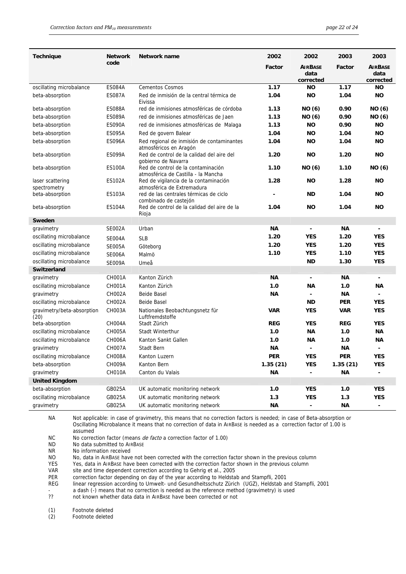| <b>Technique</b>                   | <b>Network</b> | Network name                                                              | 2002       | 2002                                | 2003       | 2003                                |
|------------------------------------|----------------|---------------------------------------------------------------------------|------------|-------------------------------------|------------|-------------------------------------|
|                                    | code           |                                                                           | Factor     | <b>AIRBASE</b><br>data<br>corrected | Factor     | <b>AIRBASE</b><br>data<br>corrected |
| oscillating microbalance           | <b>ES084A</b>  | <b>Cementos Cosmos</b>                                                    | 1.17       | <b>NO</b>                           | 1.17       | NΟ                                  |
| beta-absorption                    | <b>ES087A</b>  | Red de inmisión de la central térmica de<br>Eivissa                       | 1.04       | <b>NO</b>                           | 1.04       | <b>NO</b>                           |
| beta-absorption                    | ES088A         | red de inmisiones atmosféricas de córdoba                                 | 1.13       | NO (6)                              | 0.90       | NO (6)                              |
| beta-absorption                    | <b>ES089A</b>  | red de inmisiones atmosféricas de Jaen                                    | 1.13       | NO (6)                              | 0.90       | NO (6)                              |
| beta-absorption                    | <b>ES090A</b>  | red de inmisiones atmosféricas de Malaga                                  | 1.13       | <b>NO</b>                           | 0.90       | <b>NO</b>                           |
| beta-absorption                    | <b>ES095A</b>  | Red de govern Balear                                                      | 1.04       | <b>NO</b>                           | 1.04       | <b>NO</b>                           |
| beta-absorption                    | <b>ES096A</b>  | Red regional de inmisión de contaminantes<br>atmosféricos en Aragón       | 1.04       | <b>NO</b>                           | 1.04       | <b>NO</b>                           |
| beta-absorption                    | <b>ES099A</b>  | Red de control de la calidad del aire del<br>gobierno de Navarra          | 1.20       | <b>NO</b>                           | 1.20       | <b>NO</b>                           |
| beta-absorption                    | <b>ES100A</b>  | Red de control de la contaminación<br>atmosférica de Castilla - la Mancha | 1.10       | NO (6)                              | 1.10       | NO (6)                              |
| laser scattering<br>spectrometry   | <b>ES102A</b>  | Red de vigilancia de la contaminación<br>atmosférica de Extremadura       | 1.28       | <b>NO</b>                           | 1.28       | <b>NO</b>                           |
| beta-absorption                    | <b>ES103A</b>  | red de las centrales térmicas de ciclo<br>combinado de castejón           |            | <b>ND</b>                           | 1.04       | NΟ                                  |
| beta-absorption                    | <b>ES104A</b>  | Red de control de la calidad del aire de la<br>Rioja                      | 1.04       | <b>NO</b>                           | 1.04       | NΟ                                  |
| Sweden                             |                |                                                                           |            |                                     |            |                                     |
| gravimetry                         | <b>SE002A</b>  | Urban                                                                     | <b>NA</b>  | -                                   | ΝA         | $\qquad \qquad \blacksquare$        |
| oscillating microbalance           | <b>SE004A</b>  | <b>SLB</b>                                                                | 1.20       | <b>YES</b>                          | 1.20       | <b>YES</b>                          |
| oscillating microbalance           | <b>SE005A</b>  | Göteborg                                                                  | 1.20       | <b>YES</b>                          | 1.20       | <b>YES</b>                          |
| oscillating microbalance           | <b>SE006A</b>  | Malmö                                                                     | 1.10       | <b>YES</b>                          | 1.10       | <b>YES</b>                          |
| oscillating microbalance           | <b>SE009A</b>  | Umeå                                                                      |            | <b>ND</b>                           | 1.30       | <b>YES</b>                          |
| Switzerland                        |                |                                                                           |            |                                     |            |                                     |
| gravimetry                         | <b>CH001A</b>  | Kanton Zürich                                                             | ΝA         | $\overline{\phantom{a}}$            | ΝA         |                                     |
| oscillating microbalance           | <b>CH001A</b>  | Kanton Zürich                                                             | 1.0        | ΝA                                  | 1.0        | ΝA                                  |
| gravimetry                         | <b>CH002A</b>  | Beide Basel                                                               | ΝA         | $\blacksquare$                      | ΝA         |                                     |
| oscillating microbalance           | <b>CH002A</b>  | <b>Beide Basel</b>                                                        |            | <b>ND</b>                           | <b>PER</b> | <b>YES</b>                          |
| gravimetry/beta-absorption<br>(20) | CH003A         | Nationales Beobachtungsnetz für<br>Luftfremdstoffe                        | <b>VAR</b> | <b>YES</b>                          | <b>VAR</b> | <b>YES</b>                          |
| beta-absorption                    | CH004A         | Stadt Zürich                                                              | <b>REG</b> | <b>YES</b>                          | <b>REG</b> | <b>YES</b>                          |
| oscillating microbalance           | <b>CH005A</b>  | Stadt Winterthur                                                          | 1.0        | ΝA                                  | 1.0        | <b>NA</b>                           |
| oscillating microbalance           | <b>CH006A</b>  | Kanton Sankt Gallen                                                       | 1.0        | ΝA                                  | 1.0        | ΝA                                  |
| gravimetry                         | <b>CH007A</b>  | Stadt Bern                                                                | ΝA         | $\blacksquare$                      | ΝA         | $\blacksquare$                      |
| oscillating microbalance           | CH008A         | Kanton Luzern                                                             | PER        | <b>YES</b>                          | PER        | <b>YES</b>                          |
| beta-absorption                    | CH009A         | Kanton Bern                                                               | 1.35(21)   | <b>YES</b>                          | 1.35(21)   | <b>YES</b>                          |
| gravimetry                         | CH010A         | Canton du Valais                                                          | ΝA         |                                     | <b>NA</b>  |                                     |
| <b>United Kingdom</b>              |                |                                                                           |            |                                     |            |                                     |
| beta-absorption                    | GB025A         | UK automatic monitoring network                                           | 1.0        | <b>YES</b>                          | 1.0        | <b>YES</b>                          |
| oscillating microbalance           | GB025A         | UK automatic monitoring network                                           | 1.3        | <b>YES</b>                          | 1.3        | <b>YES</b>                          |
| gravimetry                         | GB025A         | UK automatic monitoring network                                           | ΝA         | $\blacksquare$                      | ΝA         | $\blacksquare$                      |

NA Not applicable: in case of gravimetry, this means that no correction factors is needed; in case of Beta-absorption or Oscillating Microbalance it means that no correction of data in AIRBASE is needed as a correction factor of 1.00 is assumed

NC No correction factor (means *de facto* a correction factor of 1.00)<br>ND No data submitted to AIRBASE

No data submitted to AIRBASE

NR No information received

NO No, data in AIRBASE have not been corrected with the correction factor shown in the previous column

YES Yes, data in AIRBASE have been corrected with the correction factor shown in the previous column

VAR site and time dependent correction according to Gehrig et al., 2005<br>PER correction factor depending on day of the year according to Heldsta

correction factor depending on day of the year according to Heldstab and Stampfli, 2001

REG linear regression according to Umwelt- und Gesundheitsschutz Zürich (UGZ), Heldstab and Stampfli, 2001

- a dash (-) means that no correction is needed as the reference method (gravimetry) is used<br>?? not known whether data data in AIRBASE have been corrected or not

not known whether data data in AIRBASE have been corrected or not

(1) Footnote deleted

(2) Footnote deleted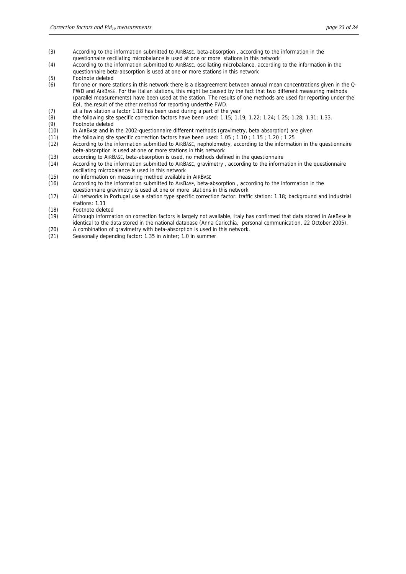- (3) According to the information submitted to AIRBASE, beta-absorption , according to the information in the questionnaire oscillating microbalance is used at one or more stations in this network
- (4) According to the information submitted to AIRBASE, oscillating microbalance, according to the information in the questionnaire beta-absorption is used at one or more stations in this network
- (5) Footnote deleted
- (6) for one or more stations in this network there is a disagreement between annual mean concentrations given in the Q-FWD and AIRBASE. For the Italian stations, this might be caused by the fact that two different measuring methods (parallel measurements) have been used at the station. The results of one methods are used for reporting under the EoI, the result of the other method for reporting underthe FWD.
- (7) at a few station a factor 1.18 has been used during a part of the year (8) the following site specific correction factors have been used:  $1.15: 1.1$
- the following site specific correction factors have been used: 1.15; 1.19; 1.22; 1.24; 1.25; 1.28; 1.31; 1.33.
- 
- (9) Footnote deleted<br>(10) in AIRBASE and in in AIRBASE and in the 2002-questionnaire different methods (gravimetry, beta absorption) are given
- (11) the following site specific correction factors have been used: 1.05 ; 1.10 ; 1.15 ; 1.20 ; 1.25
- (12) According to the information submitted to AIRBASE, nepholometry, according to the information in the questionnaire beta-absorption is used at one or more stations in this network
- (13) according to AIRBASE, beta-absorption is used, no methods defined in the questionnaire
- (14) According to the information submitted to AIRBASE, gravimetry , according to the information in the questionnaire oscillating microbalance is used in this network
- (15) no information on measuring method available in AIRBASE
- (16) According to the information submitted to AIRBASE, beta-absorption , according to the information in the questionnaire gravimetry is used at one or more stations in this network
- (17) All networks in Portugal use a station type specific correction factor: traffic station: 1.18; background and industrial stations: 1.11
- (18) Footnote deleted
- (19) Although information on correction factors is largely not available, Italy has confirmed that data stored in AIRBASE is identical to the data stored in the national database (Anna Caricchia, personal communication, 22 October 2005).
- (20) A combination of gravimetry with beta-absorption is used in this network.
- (21) Seasonally depending factor: 1.35 in winter; 1.0 in summer